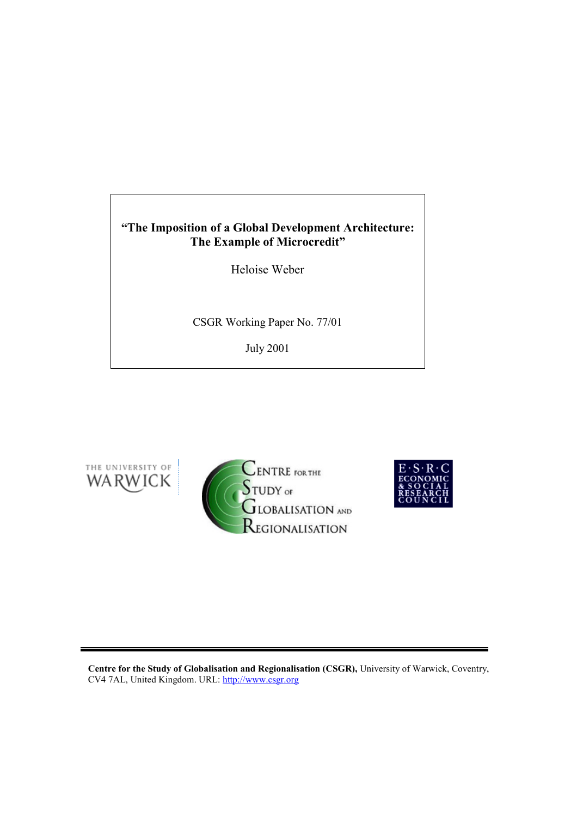# **"The Imposition of a Global Development Architecture: The Example of Microcredit"**

Heloise Weber

CSGR Working Paper No. 77/01

July 2001







**Centre for the Study of Globalisation and Regionalisation (CSGR),** University of Warwick, Coventry, CV4 7AL, United Kingdom. URL: http://www.csgr.org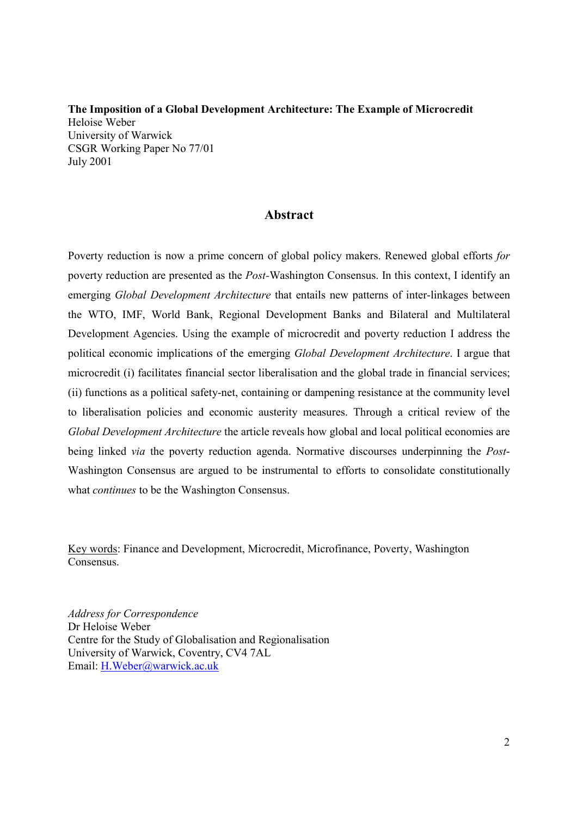**The Imposition of a Global Development Architecture: The Example of Microcredit**  Heloise Weber University of Warwick CSGR Working Paper No 77/01 July 2001

# **Abstract**

Poverty reduction is now a prime concern of global policy makers. Renewed global efforts *for*  poverty reduction are presented as the *Post-*Washington Consensus. In this context, I identify an emerging *Global Development Architecture* that entails new patterns of inter-linkages between the WTO, IMF, World Bank, Regional Development Banks and Bilateral and Multilateral Development Agencies. Using the example of microcredit and poverty reduction I address the political economic implications of the emerging *Global Development Architecture*. I argue that microcredit (i) facilitates financial sector liberalisation and the global trade in financial services; (ii) functions as a political safety-net, containing or dampening resistance at the community level to liberalisation policies and economic austerity measures. Through a critical review of the *Global Development Architecture* the article reveals how global and local political economies are being linked *via* the poverty reduction agenda. Normative discourses underpinning the *Post*-Washington Consensus are argued to be instrumental to efforts to consolidate constitutionally what *continues* to be the Washington Consensus.

Key words: Finance and Development, Microcredit, Microfinance, Poverty, Washington **Consensus** 

*Address for Correspondence*  Dr Heloise Weber Centre for the Study of Globalisation and Regionalisation University of Warwick, Coventry, CV4 7AL Email: H.Weber@warwick.ac.uk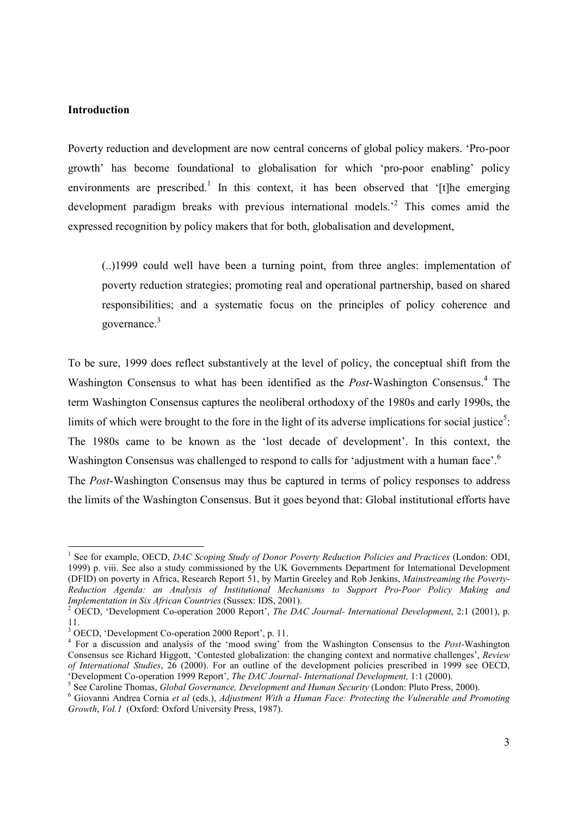#### **Introduction**

Poverty reduction and development are now central concerns of global policy makers. 'Pro-poor growth' has become foundational to globalisation for which 'pro-poor enabling' policy environments are prescribed.<sup>1</sup> In this context, it has been observed that '[t]he emerging development paradigm breaks with previous international models.<sup>2</sup> This comes amid the expressed recognition by policy makers that for both, globalisation and development,

(..)1999 could well have been a turning point, from three angles: implementation of poverty reduction strategies; promoting real and operational partnership, based on shared responsibilities; and a systematic focus on the principles of policy coherence and governance.<sup>3</sup>

To be sure, 1999 does reflect substantively at the level of policy, the conceptual shift from the Washington Consensus to what has been identified as the *Post*-Washington Consensus.<sup>4</sup> The term Washington Consensus captures the neoliberal orthodoxy of the 1980s and early 1990s, the limits of which were brought to the fore in the light of its adverse implications for social justice<sup>5</sup>: The 1980s came to be known as the 'lost decade of development'. In this context, the Washington Consensus was challenged to respond to calls for 'adjustment with a human face'.<sup>6</sup>

The *Post*-Washington Consensus may thus be captured in terms of policy responses to address the limits of the Washington Consensus. But it goes beyond that: Global institutional efforts have

<sup>&</sup>lt;sup>1</sup> See for example, OECD, *DAC Scoping Study of Donor Poverty Reduction Policies and Practices* (London: ODI, 1999) p. viii. See also a study commissioned by the UK Governments Department for International Development (DFID) on poverty in Africa, Research Report 51, by Martin Greeley and Rob Jenkins, *Mainstreaming the Poverty-Reduction Agenda: an Analysis of Institutional Mechanisms to Support Pro-Poor Policy Making and Implementation in Six African Countries* (Sussex: IDS, 2001).

OECD, 'Development Co-operation 2000 Report', *The DAC Journal- International Development*, 2:1 (2001), p. 11.

<sup>&</sup>lt;sup>3</sup> OECD, 'Development Co-operation 2000 Report', p. 11.

<sup>4</sup> For a discussion and analysis of the 'mood swing' from the Washington Consensus to the *Post-*Washington Consensus see Richard Higgott, 'Contested globalization: the changing context and normative challenges', *Review of International Studies*, 26 (2000). For an outline of the development policies prescribed in 1999 see OECD, 'Development Co-operation 1999 Report', *The DAC Journal- International Development,* 1:1 (2000). 5

See Caroline Thomas, *Global Governance, Development and Human Security* (London: Pluto Press, 2000).<br><sup>6</sup> Giovanni Andree Cernie et al (eds.), Adjustment With a Human Fase: Pustesting the Vulnewable and Pus

Giovanni Andrea Cornia *et al* (eds.), *Adjustment With a Human Face: Protecting the Vulnerable and Promoting Growth*, *Vol.1* (Oxford: Oxford University Press, 1987).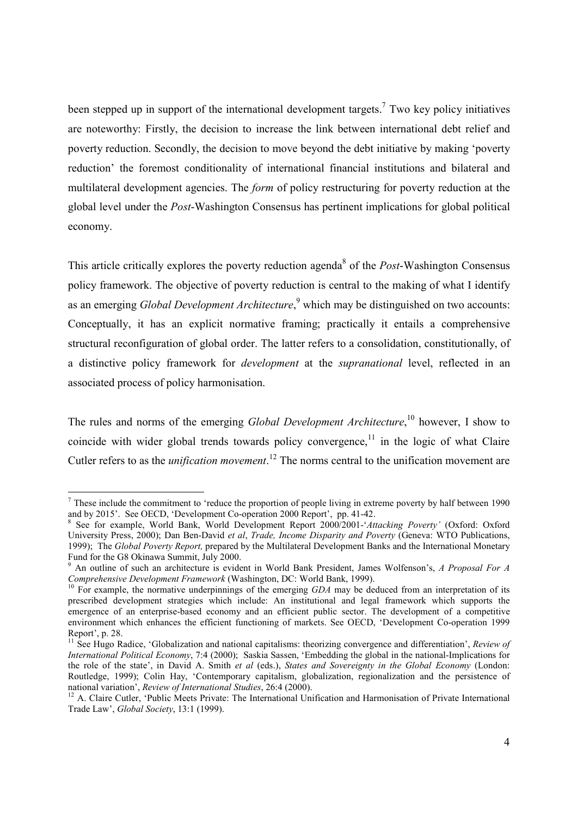been stepped up in support of the international development targets.<sup>7</sup> Two key policy initiatives are noteworthy: Firstly, the decision to increase the link between international debt relief and poverty reduction. Secondly, the decision to move beyond the debt initiative by making 'poverty reduction' the foremost conditionality of international financial institutions and bilateral and multilateral development agencies. The *form* of policy restructuring for poverty reduction at the global level under the *Post*-Washington Consensus has pertinent implications for global political economy.

This article critically explores the poverty reduction agenda<sup>8</sup> of the *Post*-Washington Consensus policy framework. The objective of poverty reduction is central to the making of what I identify as an emerging *Global Development Architecture*,<sup>9</sup> which may be distinguished on two accounts: Conceptually, it has an explicit normative framing; practically it entails a comprehensive structural reconfiguration of global order. The latter refers to a consolidation, constitutionally, of a distinctive policy framework for *development* at the *supranational* level, reflected in an associated process of policy harmonisation.

The rules and norms of the emerging *Global Development Architecture*,<sup>10</sup> however, I show to coincide with wider global trends towards policy convergence, $11$  in the logic of what Claire Cutler refers to as the *unification movement*. 12 The norms central to the unification movement are

 $<sup>7</sup>$  These include the commitment to 'reduce the proportion of people living in extreme poverty by half between 1990</sup> and by 2015'. See OECD, 'Development Co-operation 2000 Report', pp. 41-42.

<sup>8</sup> See for example, World Bank, World Development Report 2000/2001-'*Attacking Poverty'* (Oxford: Oxford University Press, 2000); Dan Ben-David *et al*, *Trade, Income Disparity and Poverty* (Geneva: WTO Publications, 1999); The *Global Poverty Report,* prepared by the Multilateral Development Banks and the International Monetary Fund for the G8 Okinawa Summit, July 2000.

<sup>9</sup> An outline of such an architecture is evident in World Bank President, James Wolfenson's, *A Proposal For A Comprehensive Development Framework* (Washington, DC: World Bank, 1999).<br><sup>10</sup> For example, the normative underpinnings of the emerging *GDA* may be deduced from an interpretation of its

prescribed development strategies which include: An institutional and legal framework which supports the emergence of an enterprise-based economy and an efficient public sector. The development of a competitive environment which enhances the efficient functioning of markets. See OECD, 'Development Co-operation 1999 Report', p. 28.

<sup>11</sup> See Hugo Radice, 'Globalization and national capitalisms: theorizing convergence and differentiation', *Review of International Political Economy*, 7:4 (2000); Saskia Sassen, 'Embedding the global in the national-Implications for the role of the state', in David A. Smith *et al* (eds.), *States and Sovereignty in the Global Economy* (London: Routledge, 1999); Colin Hay, 'Contemporary capitalism, globalization, regionalization and the persistence of national variation', Review of International Studies, 26:4 (2000).

<sup>&</sup>lt;sup>12</sup> A. Claire Cutler, 'Public Meets Private: The International Unification and Harmonisation of Private International Trade Law', *Global Society*, 13:1 (1999).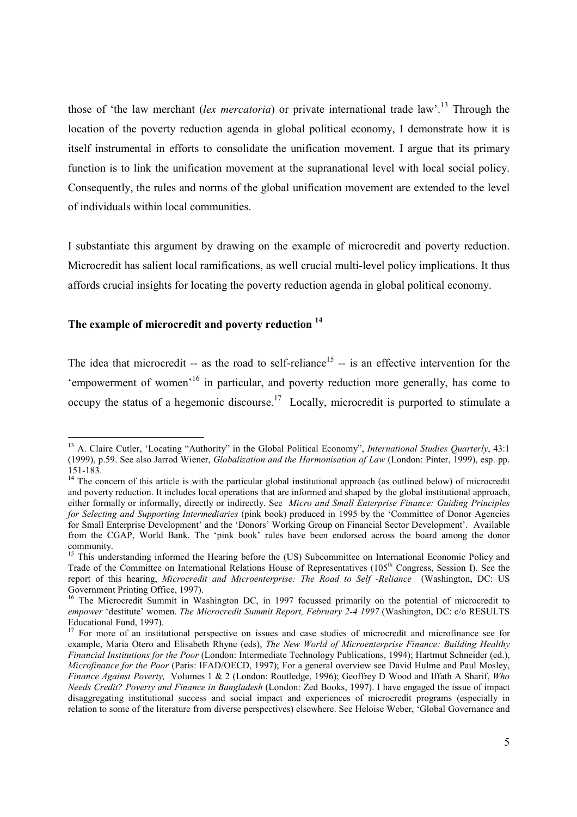those of 'the law merchant (*lex mercatoria*) or private international trade law'.13 Through the location of the poverty reduction agenda in global political economy, I demonstrate how it is itself instrumental in efforts to consolidate the unification movement. I argue that its primary function is to link the unification movement at the supranational level with local social policy. Consequently, the rules and norms of the global unification movement are extended to the level of individuals within local communities.

I substantiate this argument by drawing on the example of microcredit and poverty reduction. Microcredit has salient local ramifications, as well crucial multi-level policy implications. It thus affords crucial insights for locating the poverty reduction agenda in global political economy.

# **The example of microcredit and poverty reduction 14**

The idea that microcredit -- as the road to self-reliance<sup>15</sup> -- is an effective intervention for the 'empowerment of women'16 in particular, and poverty reduction more generally, has come to occupy the status of a hegemonic discourse.<sup>17</sup> Locally, microcredit is purported to stimulate a

<sup>&</sup>lt;sup>13</sup> A. Claire Cutler, 'Locating "Authority" in the Global Political Economy", *International Studies Quarterly*, 43:1 (1999), p.59. See also Jarrod Wiener, *Globalization and the Harmonisation of Law* (London: Pinter, 1999), esp. pp. 151-183.

<sup>&</sup>lt;sup>14</sup> The concern of this article is with the particular global institutional approach (as outlined below) of microcredit and poverty reduction. It includes local operations that are informed and shaped by the global institutional approach, either formally or informally, directly or indirectly. See *Micro and Small Enterprise Finance: Guiding Principles for Selecting and Supporting Intermediaries* (pink book) produced in 1995 by the 'Committee of Donor Agencies for Small Enterprise Development' and the 'Donors' Working Group on Financial Sector Development'. Available from the CGAP, World Bank. The 'pink book' rules have been endorsed across the board among the donor community.

<sup>&</sup>lt;sup>15</sup> This understanding informed the Hearing before the (US) Subcommittee on International Economic Policy and Trade of the Committee on International Relations House of Representatives (105<sup>th</sup> Congress, Session I). See the report of this hearing, *Microcredit and Microenterprise: The Road to Self -Reliance* (Washington, DC: US Government Printing Office, 1997).

<sup>&</sup>lt;sup>16</sup> The Microcredit Summit in Washington DC, in 1997 focussed primarily on the potential of microcredit to *empower* 'destitute' women. *The Microcredit Summit Report, February 2-4 1997* (Washington, DC: c/o RESULTS Educational Fund, 1997).

<sup>&</sup>lt;sup>17</sup> For more of an institutional perspective on issues and case studies of microcredit and microfinance see for example, Maria Otero and Elisabeth Rhyne (eds), *The New World of Microenterprise Finance: Building Healthy Financial Institutions for the Poor* (London: Intermediate Technology Publications, 1994); Hartmut Schneider (ed.), *Microfinance for the Poor* (Paris: IFAD/OECD, 1997); For a general overview see David Hulme and Paul Mosley, *Finance Against Poverty,* Volumes 1 & 2 (London: Routledge, 1996); Geoffrey D Wood and Iffath A Sharif, *Who Needs Credit? Poverty and Finance in Bangladesh* (London: Zed Books, 1997). I have engaged the issue of impact disaggregating institutional success and social impact and experiences of microcredit programs (especially in relation to some of the literature from diverse perspectives) elsewhere. See Heloise Weber, 'Global Governance and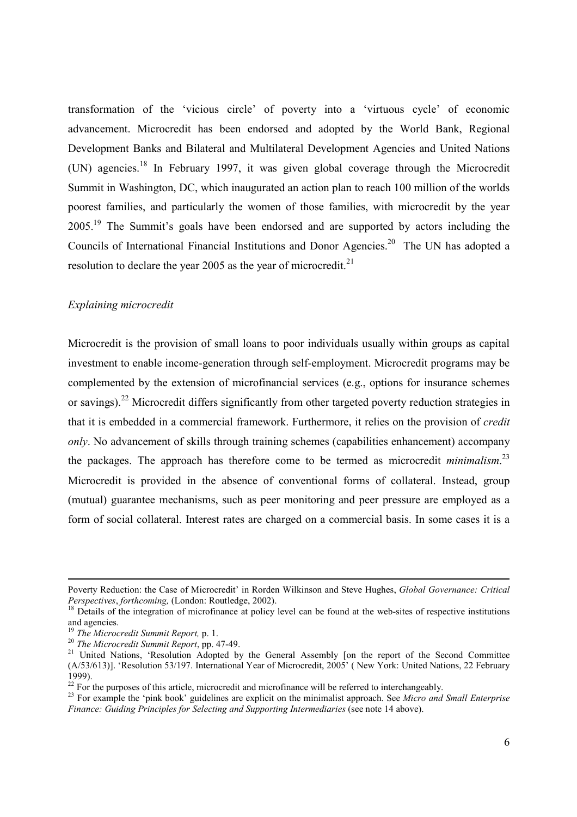transformation of the 'vicious circle' of poverty into a 'virtuous cycle' of economic advancement. Microcredit has been endorsed and adopted by the World Bank, Regional Development Banks and Bilateral and Multilateral Development Agencies and United Nations (UN) agencies.<sup>18</sup> In February 1997, it was given global coverage through the Microcredit Summit in Washington, DC, which inaugurated an action plan to reach 100 million of the worlds poorest families, and particularly the women of those families, with microcredit by the year 2005<sup>19</sup> The Summit's goals have been endorsed and are supported by actors including the Councils of International Financial Institutions and Donor Agencies.20 The UN has adopted a resolution to declare the year 2005 as the year of microcredit.<sup>21</sup>

#### *Explaining microcredit*

Microcredit is the provision of small loans to poor individuals usually within groups as capital investment to enable income-generation through self-employment. Microcredit programs may be complemented by the extension of microfinancial services (e.g., options for insurance schemes or savings).22 Microcredit differs significantly from other targeted poverty reduction strategies in that it is embedded in a commercial framework. Furthermore, it relies on the provision of *credit only*. No advancement of skills through training schemes (capabilities enhancement) accompany the packages. The approach has therefore come to be termed as microcredit *minimalism*. 23 Microcredit is provided in the absence of conventional forms of collateral. Instead, group (mutual) guarantee mechanisms, such as peer monitoring and peer pressure are employed as a form of social collateral. Interest rates are charged on a commercial basis. In some cases it is a

Poverty Reduction: the Case of Microcredit' in Rorden Wilkinson and Steve Hughes, *Global Governance: Critical Perspectives, forthcoming,* (London: Routledge, 2002).<br><sup>18</sup> Details of the integration of microfinance at policy level can be found at the web-sites of respective institutions

and agencies.<br><sup>19</sup> The Microcredit Summit Report. p. 1.

<sup>&</sup>lt;sup>20</sup> *The Microcredit Summit Report*, pp. 47-49.<br><sup>21</sup> United Nations, 'Resolution Adopted by the General Assembly [on the report of the Second Committee (A/53/613)]. 'Resolution 53/197. International Year of Microcredit, 2005' ( New York: United Nations, 22 February 1999).

 $22^{22}$  For the purposes of this article, microcredit and microfinance will be referred to interchangeably.

<sup>23</sup> For example the 'pink book' guidelines are explicit on the minimalist approach. See *Micro and Small Enterprise Finance: Guiding Principles for Selecting and Supporting Intermediaries* (see note 14 above).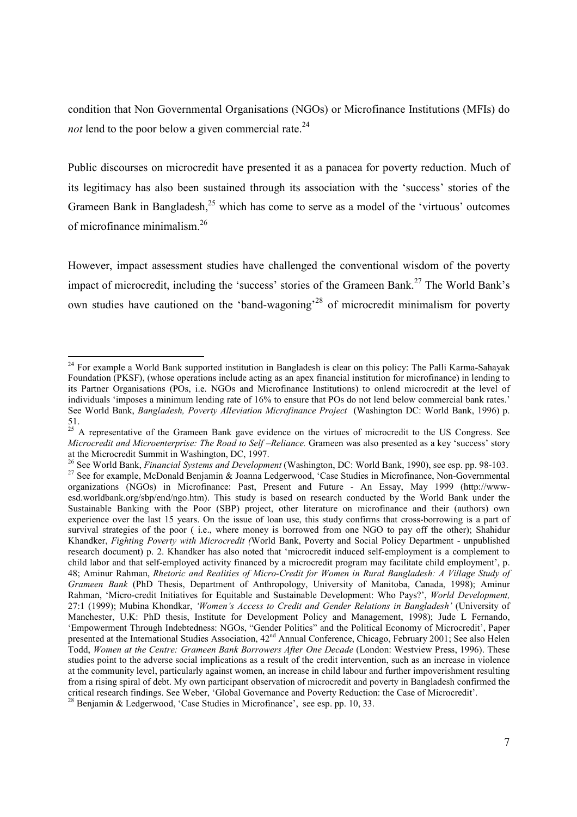condition that Non Governmental Organisations (NGOs) or Microfinance Institutions (MFIs) do *not* lend to the poor below a given commercial rate.<sup>24</sup>

Public discourses on microcredit have presented it as a panacea for poverty reduction. Much of its legitimacy has also been sustained through its association with the 'success' stories of the Grameen Bank in Bangladesh,<sup>25</sup> which has come to serve as a model of the 'virtuous' outcomes of microfinance minimalism.26

However, impact assessment studies have challenged the conventional wisdom of the poverty impact of microcredit, including the 'success' stories of the Grameen Bank.<sup>27</sup> The World Bank's own studies have cautioned on the 'band-wagoning'28 of microcredit minimalism for poverty

<sup>&</sup>lt;sup>24</sup> For example a World Bank supported institution in Bangladesh is clear on this policy: The Palli Karma-Sahayak Foundation (PKSF), (whose operations include acting as an apex financial institution for microfinance) in lending to its Partner Organisations (POs, i.e. NGOs and Microfinance Institutions) to onlend microcredit at the level of individuals 'imposes a minimum lending rate of 16% to ensure that POs do not lend below commercial bank rates.' See World Bank, *Bangladesh, Poverty Alleviation Microfinance Project* (Washington DC: World Bank, 1996) p. 51.

<sup>&</sup>lt;sup>25</sup> A representative of the Grameen Bank gave evidence on the virtues of microcredit to the US Congress. See *Microcredit and Microenterprise: The Road to Self –Reliance.* Grameen was also presented as a key 'success' story at the Microcredit Summit in Washington, DC, 1997.<br><sup>26</sup> See World Bank, *Financial Systems and Development* (Washington, DC: World Bank, 1990), see esp. pp. 98-103.

<sup>&</sup>lt;sup>27</sup> See for example, *McDonald Benjamin & Joanna Ledgerwood*, 'Case Studies in Microfinance, Non-Governmental organizations (NGOs) in Microfinance: Past, Present and Future - An Essay, May 1999 (http://wwwesd.worldbank.org/sbp/end/ngo.htm). This study is based on research conducted by the World Bank under the Sustainable Banking with the Poor (SBP) project, other literature on microfinance and their (authors) own experience over the last 15 years. On the issue of loan use, this study confirms that cross-borrowing is a part of survival strategies of the poor ( i.e., where money is borrowed from one NGO to pay off the other); Shahidur Khandker, *Fighting Poverty with Microcredit (*World Bank, Poverty and Social Policy Department - unpublished research document) p. 2. Khandker has also noted that 'microcredit induced self-employment is a complement to child labor and that self-employed activity financed by a microcredit program may facilitate child employment', p. 48; Aminur Rahman, *Rhetoric and Realities of Micro-Credit for Women in Rural Bangladesh: A Village Study of Grameen Bank* (PhD Thesis, Department of Anthropology, University of Manitoba, Canada, 1998); Aminur Rahman, 'Micro-credit Initiatives for Equitable and Sustainable Development: Who Pays?', *World Development,*  27:1 (1999); Mubina Khondkar, *'Women's Access to Credit and Gender Relations in Bangladesh'* (University of Manchester, U.K: PhD thesis, Institute for Development Policy and Management, 1998); Jude L Fernando, 'Empowerment Through Indebtedness: NGOs, "Gender Politics" and the Political Economy of Microcredit', Paper presented at the International Studies Association, 42<sup>nd</sup> Annual Conference, Chicago, February 2001; See also Helen Todd, *Women at the Centre: Grameen Bank Borrowers After One Decade* (London: Westview Press, 1996). These studies point to the adverse social implications as a result of the credit intervention, such as an increase in violence at the community level, particularly against women, an increase in child labour and further impoverishment resulting from a rising spiral of debt. My own participant observation of microcredit and poverty in Bangladesh confirmed the critical research findings. See Weber, 'Global Governance and Poverty Reduction: the Case of Microcredit'.  $^{28}$  Benjamin & Ledgerwood, 'Case Studies in Microfinance', see esp. pp. 10, 33.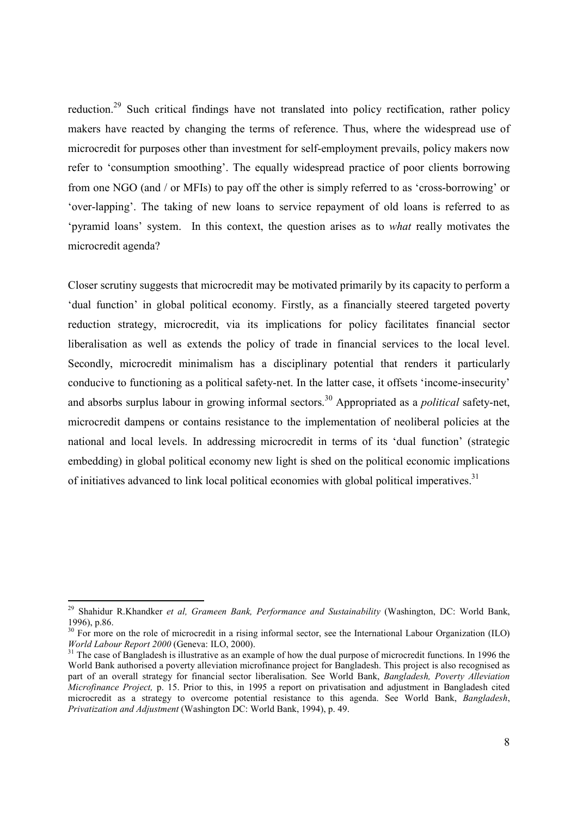reduction.<sup>29</sup> Such critical findings have not translated into policy rectification, rather policy makers have reacted by changing the terms of reference. Thus, where the widespread use of microcredit for purposes other than investment for self-employment prevails, policy makers now refer to 'consumption smoothing'. The equally widespread practice of poor clients borrowing from one NGO (and / or MFIs) to pay off the other is simply referred to as 'cross-borrowing' or 'over-lapping'. The taking of new loans to service repayment of old loans is referred to as 'pyramid loans' system. In this context, the question arises as to *what* really motivates the microcredit agenda?

Closer scrutiny suggests that microcredit may be motivated primarily by its capacity to perform a 'dual function' in global political economy. Firstly, as a financially steered targeted poverty reduction strategy, microcredit, via its implications for policy facilitates financial sector liberalisation as well as extends the policy of trade in financial services to the local level. Secondly, microcredit minimalism has a disciplinary potential that renders it particularly conducive to functioning as a political safety-net. In the latter case, it offsets 'income-insecurity' and absorbs surplus labour in growing informal sectors.<sup>30</sup> Appropriated as a *political* safety-net, microcredit dampens or contains resistance to the implementation of neoliberal policies at the national and local levels. In addressing microcredit in terms of its 'dual function' (strategic embedding) in global political economy new light is shed on the political economic implications of initiatives advanced to link local political economies with global political imperatives.<sup>31</sup>

 $\overline{a}$ 

<sup>29</sup> Shahidur R.Khandker *et al, Grameen Bank, Performance and Sustainability* (Washington, DC: World Bank, 1996), p.86.

 $30$  For more on the role of microcredit in a rising informal sector, see the International Labour Organization (ILO) *World Labour Report 2000* (Geneva: ILO, 2000).

<sup>&</sup>lt;sup>31</sup> The case of Bangladesh is illustrative as an example of how the dual purpose of microcredit functions. In 1996 the World Bank authorised a poverty alleviation microfinance project for Bangladesh. This project is also recognised as part of an overall strategy for financial sector liberalisation. See World Bank, *Bangladesh, Poverty Alleviation Microfinance Project,* p. 15. Prior to this, in 1995 a report on privatisation and adjustment in Bangladesh cited microcredit as a strategy to overcome potential resistance to this agenda. See World Bank, *Bangladesh*, *Privatization and Adjustment* (Washington DC: World Bank, 1994), p. 49.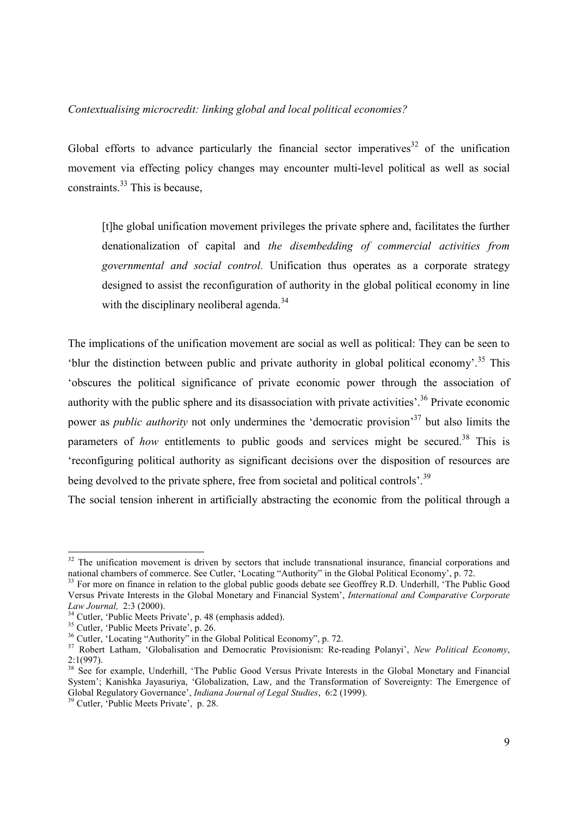# *Contextualising microcredit: linking global and local political economies?*

Global efforts to advance particularly the financial sector imperatives<sup>32</sup> of the unification movement via effecting policy changes may encounter multi-level political as well as social constraints.<sup>33</sup> This is because.

[t]he global unification movement privileges the private sphere and, facilitates the further denationalization of capital and *the disembedding of commercial activities from governmental and social control.* Unification thus operates as a corporate strategy designed to assist the reconfiguration of authority in the global political economy in line with the disciplinary neoliberal agenda.<sup>34</sup>

The implications of the unification movement are social as well as political: They can be seen to 'blur the distinction between public and private authority in global political economy'.35 This 'obscures the political significance of private economic power through the association of authority with the public sphere and its disassociation with private activities'.36 Private economic power as *public authority* not only undermines the 'democratic provision'37 but also limits the parameters of *how* entitlements to public goods and services might be secured.<sup>38</sup> This is 'reconfiguring political authority as significant decisions over the disposition of resources are being devolved to the private sphere, free from societal and political controls'.<sup>39</sup>

The social tension inherent in artificially abstracting the economic from the political through a

 $32$  The unification movement is driven by sectors that include transnational insurance, financial corporations and national chambers of commerce. See Cutler, 'Locating "Authority" in the Global Political Economy', p. 72.

<sup>&</sup>lt;sup>33</sup> For more on finance in relation to the global public goods debate see Geoffrey R.D. Underhill, 'The Public Good Versus Private Interests in the Global Monetary and Financial System', *International and Comparative Corporate* 

<sup>&</sup>lt;sup>34</sup> Cutler, 'Public Meets Private', p. 48 (emphasis added).

<sup>35</sup> Cutler, 'Public Meets Private', p. 26.

<sup>36</sup> Cutler, 'Locating "Authority" in the Global Political Economy", p. 72.

<sup>37</sup> Robert Latham, 'Globalisation and Democratic Provisionism: Re-reading Polanyi', *New Political Economy*, 2:1(997).

<sup>&</sup>lt;sup>38</sup> See for example, Underhill, 'The Public Good Versus Private Interests in the Global Monetary and Financial System'; Kanishka Jayasuriya, 'Globalization, Law, and the Transformation of Sovereignty: The Emergence of System'; Kanishka Jayasuriya, 'Globalization, Law, and the Transformation of Sovereignty: The Emergence of Global Regulatory Governance', *Indiana Journal of Legal Studies*, 6:2 (1999).<br><sup>39</sup> Cutler, 'Public Meets Private',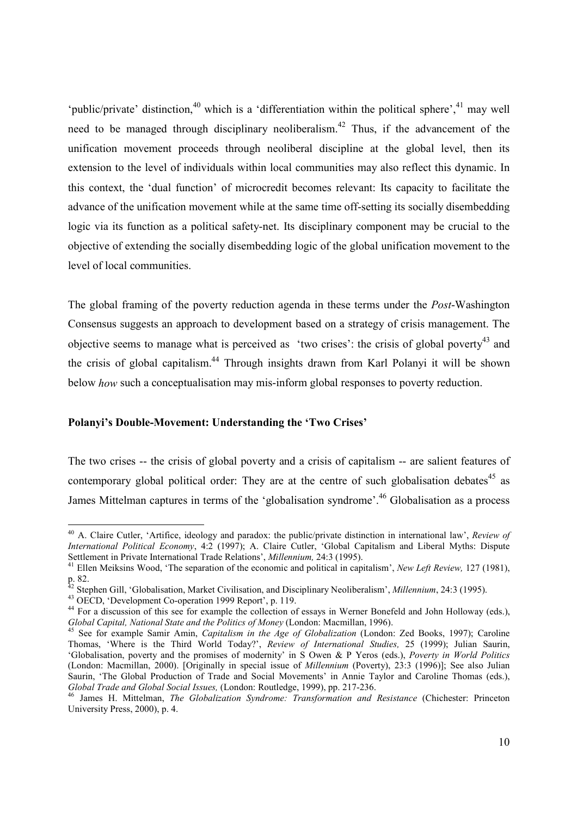'public/private' distinction,<sup>40</sup> which is a 'differentiation within the political sphere',<sup>41</sup> may well need to be managed through disciplinary neoliberalism.<sup>42</sup> Thus, if the advancement of the unification movement proceeds through neoliberal discipline at the global level, then its extension to the level of individuals within local communities may also reflect this dynamic. In this context, the 'dual function' of microcredit becomes relevant: Its capacity to facilitate the advance of the unification movement while at the same time off-setting its socially disembedding logic via its function as a political safety-net. Its disciplinary component may be crucial to the objective of extending the socially disembedding logic of the global unification movement to the level of local communities.

The global framing of the poverty reduction agenda in these terms under the *Post*-Washington Consensus suggests an approach to development based on a strategy of crisis management. The objective seems to manage what is perceived as 'two crises': the crisis of global poverty<sup>43</sup> and the crisis of global capitalism.44 Through insights drawn from Karl Polanyi it will be shown below *how* such a conceptualisation may mis-inform global responses to poverty reduction.

#### **Polanyi's Double-Movement: Understanding the 'Two Crises'**

The two crises -- the crisis of global poverty and a crisis of capitalism -- are salient features of contemporary global political order: They are at the centre of such globalisation debates<sup>45</sup> as James Mittelman captures in terms of the 'globalisation syndrome'.<sup>46</sup> Globalisation as a process

l

<sup>40</sup> A. Claire Cutler, 'Artifice, ideology and paradox: the public/private distinction in international law', *Review of International Political Economy*, 4:2 (1997); A. Claire Cutler, 'Global Capitalism and Liberal Myths: Dispute Settlement in Private International Trade Relations', *Millennium*, 24:3 (1995).

<sup>&</sup>lt;sup>41</sup> Ellen Meiksins Wood, 'The separation of the economic and political in capitalism', *New Left Review*, 127 (1981), p. 82.

<sup>&</sup>lt;sup>42</sup> Stephen Gill, 'Globalisation, Market Civilisation, and Disciplinary Neoliberalism', *Millennium*, 24:3 (1995).<br><sup>43</sup> OECD, 'Development Co-operation 1999 Report', p. 119.

<sup>43</sup> OECD, 'Development Co-operation 1999 Report', p. 119.<br><sup>44</sup> For a discussion of this see for example the collection of essays in Werner Bonefeld and John Holloway (eds.),<br>*Global Capital, National State and the Politics* 

<sup>&</sup>lt;sup>45</sup> See for example Samir Amin, *Capitalism in the Age of Globalization* (London: Zed Books, 1997); Caroline Thomas, 'Where is the Third World Today?', *Review of International Studies,* 25 (1999); Julian Saurin, 'Globalisation, poverty and the promises of modernity' in S Owen & P Yeros (eds.), *Poverty in World Politics* (London: Macmillan, 2000). [Originally in special issue of *Millennium* (Poverty), 23:3 (1996)]; See also Julian Saurin, 'The Global Production of Trade and Social Movements' in Annie Taylor and Caroline Thomas (eds.), Global Trade and Global Social Issues, (London: Routledge, 1999), pp. 217-236.

<sup>&</sup>lt;sup>46</sup> James H. Mittelman, *The Globalization Syndrome: Transformation and Resistance* (Chichester: Princeton University Press, 2000), p. 4.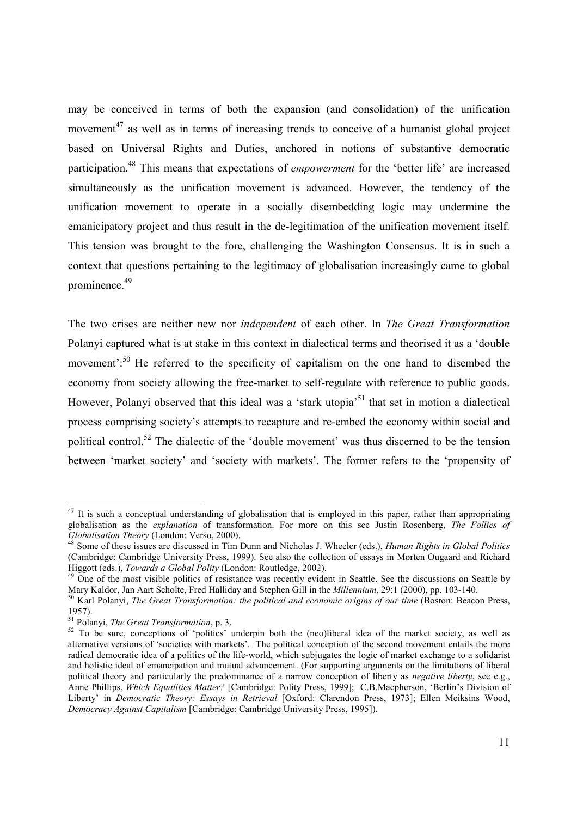may be conceived in terms of both the expansion (and consolidation) of the unification movement<sup>47</sup> as well as in terms of increasing trends to conceive of a humanist global project based on Universal Rights and Duties, anchored in notions of substantive democratic participation.48 This means that expectations of *empowerment* for the 'better life' are increased simultaneously as the unification movement is advanced. However, the tendency of the unification movement to operate in a socially disembedding logic may undermine the emanicipatory project and thus result in the de-legitimation of the unification movement itself. This tension was brought to the fore, challenging the Washington Consensus. It is in such a context that questions pertaining to the legitimacy of globalisation increasingly came to global prominence.49

The two crises are neither new nor *independent* of each other. In *The Great Transformation* Polanyi captured what is at stake in this context in dialectical terms and theorised it as a 'double movement':<sup>50</sup> He referred to the specificity of capitalism on the one hand to disembed the economy from society allowing the free-market to self-regulate with reference to public goods. However, Polanyi observed that this ideal was a 'stark utopia'<sup>51</sup> that set in motion a dialectical process comprising society's attempts to recapture and re-embed the economy within social and political control.<sup>52</sup> The dialectic of the 'double movement' was thus discerned to be the tension between 'market society' and 'society with markets'. The former refers to the 'propensity of

 $47$  It is such a conceptual understanding of globalisation that is employed in this paper, rather than appropriating globalisation as the *explanation* of transformation. For more on this see Justin Rosenberg, *The Follies of* 

<sup>&</sup>lt;sup>48</sup> Some of these issues are discussed in Tim Dunn and Nicholas J. Wheeler (eds.), *Human Rights in Global Politics* (Cambridge: Cambridge University Press, 1999). See also the collection of essays in Morten Ougaard and Richard<br>Higgott (eds.), *Towards a Global Polity* (London: Routledge, 2002).

<sup>&</sup>lt;sup>49</sup> One of the most visible politics of resistance was recently evident in Seattle. See the discussions on Seattle by Mary Kaldor, Jan Aart Scholte, Fred Halliday and Stephen Gill in the *Millennium*, 29:1 (2000), pp. 103

 $50$  Karl Polanyi, The Great Transformation; the political and economic origins of our time (Boston; Beacon Press, 1957).<br><sup>51</sup> Polanyi, *The Great Transformation*, p. 3.

<sup>&</sup>lt;sup>52</sup> To be sure, conceptions of 'politics' underpin both the (neo)liberal idea of the market society, as well as alternative versions of 'societies with markets'. The political conception of the second movement entails the more radical democratic idea of a politics of the life-world, which subjugates the logic of market exchange to a solidarist and holistic ideal of emancipation and mutual advancement. (For supporting arguments on the limitations of liberal political theory and particularly the predominance of a narrow conception of liberty as *negative liberty*, see e.g., Anne Phillips, *Which Equalities Matter?* [Cambridge: Polity Press, 1999]; C.B.Macpherson, 'Berlin's Division of Liberty' in *Democratic Theory: Essays in Retrieval* [Oxford: Clarendon Press, 1973]; Ellen Meiksins Wood, *Democracy Against Capitalism* [Cambridge: Cambridge University Press, 1995]).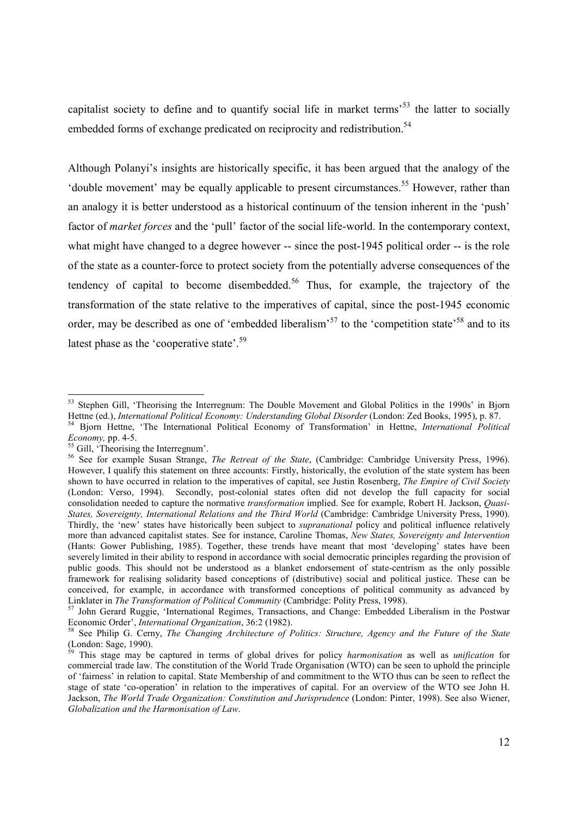capitalist society to define and to quantify social life in market terms<sup> $53$ </sup> the latter to socially embedded forms of exchange predicated on reciprocity and redistribution.<sup>54</sup>

Although Polanyi's insights are historically specific, it has been argued that the analogy of the 'double movement' may be equally applicable to present circumstances.<sup>55</sup> However, rather than an analogy it is better understood as a historical continuum of the tension inherent in the 'push' factor of *market forces* and the 'pull' factor of the social life-world. In the contemporary context, what might have changed to a degree however -- since the post-1945 political order -- is the role of the state as a counter-force to protect society from the potentially adverse consequences of the tendency of capital to become disembedded.<sup>56</sup> Thus, for example, the trajectory of the transformation of the state relative to the imperatives of capital, since the post-1945 economic order, may be described as one of 'embedded liberalism'<sup>57</sup> to the 'competition state'<sup>58</sup> and to its latest phase as the 'cooperative state'.<sup>59</sup>

<sup>&</sup>lt;sup>53</sup> Stephen Gill, 'Theorising the Interregnum: The Double Movement and Global Politics in the 1990s' in Bjorn Hettne (ed.), International Political Economy: Understanding Global Disorder (London: Zed Books, 1995), p. 87.<br><sup>54</sup> Bjorn Hettne, 'The International Political Economy of Transformation' in Hettne, *International Political* 

*Economy, pp. 4-5. Folliers* Gill, 'Theorising the Interregnum'.

<sup>56</sup> See for example Susan Strange, *The Retreat of the State*, (Cambridge: Cambridge University Press, 1996). However, I qualify this statement on three accounts: Firstly, historically, the evolution of the state system has been shown to have occurred in relation to the imperatives of capital, see Justin Rosenberg, *The Empire of Civil Society* (London: Verso, 1994). Secondly, post-colonial states often did not develop the full capacity for social consolidation needed to capture the normative *transformation* implied. See for example, Robert H. Jackson, *Quasi-States, Sovereignty, International Relations and the Third World* (Cambridge: Cambridge University Press, 1990). Thirdly, the 'new' states have historically been subject to *supranational* policy and political influence relatively more than advanced capitalist states. See for instance, Caroline Thomas, *New States, Sovereignty and Intervention* (Hants: Gower Publishing, 1985). Together, these trends have meant that most 'developing' states have been severely limited in their ability to respond in accordance with social democratic principles regarding the provision of public goods. This should not be understood as a blanket endorsement of state-centrism as the only possible framework for realising solidarity based conceptions of (distributive) social and political justice. These can be conceived, for example, in accordance with transformed conceptions of political community as advanced by Linklater in *The Transformation of Political Community* (Cambridge: Polity Press, 1998).

<sup>&</sup>lt;sup>57</sup> John Gerard Ruggie, 'International Regimes, Transactions, and Change: Embedded Liberalism in the Postwar<br>Economic Order', *International Organization*, 36:2 (1982).

<sup>&</sup>lt;sup>58</sup> See Philip G. Cerny, *The Changing Architecture of Politics: Structure, Agency and the Future of the State*  $\frac{1}{2}$ (London: Sage, 1990).

<sup>59</sup> This stage may be captured in terms of global drives for policy *harmonisation* as well as *unification* for commercial trade law. The constitution of the World Trade Organisation (WTO) can be seen to uphold the principle of 'fairness' in relation to capital. State Membership of and commitment to the WTO thus can be seen to reflect the stage of state 'co-operation' in relation to the imperatives of capital. For an overview of the WTO see John H. Jackson, *The World Trade Organization: Constitution and Jurisprudence* (London: Pinter, 1998). See also Wiener, *Globalization and the Harmonisation of Law*.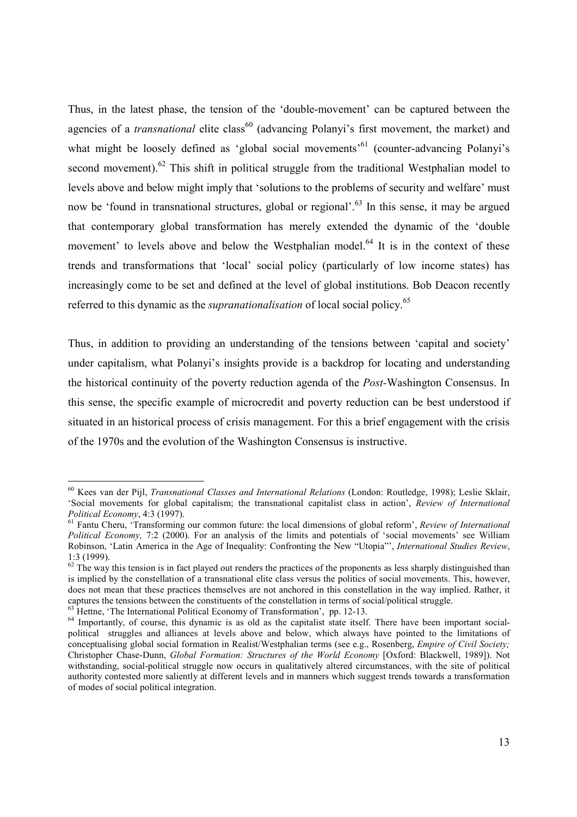Thus, in the latest phase, the tension of the 'double-movement' can be captured between the agencies of a *transnational* elite class<sup>60</sup> (advancing Polanyi's first movement, the market) and what might be loosely defined as 'global social movements'<sup>61</sup> (counter-advancing Polanyi's second movement).<sup>62</sup> This shift in political struggle from the traditional Westphalian model to levels above and below might imply that 'solutions to the problems of security and welfare' must now be 'found in transnational structures, global or regional'.<sup>63</sup> In this sense, it may be argued that contemporary global transformation has merely extended the dynamic of the 'double movement' to levels above and below the Westphalian model.<sup>64</sup> It is in the context of these trends and transformations that 'local' social policy (particularly of low income states) has increasingly come to be set and defined at the level of global institutions. Bob Deacon recently referred to this dynamic as the *supranationalisation* of local social policy.<sup>65</sup>

Thus, in addition to providing an understanding of the tensions between 'capital and society' under capitalism, what Polanyi's insights provide is a backdrop for locating and understanding the historical continuity of the poverty reduction agenda of the *Post-*Washington Consensus. In this sense, the specific example of microcredit and poverty reduction can be best understood if situated in an historical process of crisis management. For this a brief engagement with the crisis of the 1970s and the evolution of the Washington Consensus is instructive.

 $\overline{a}$ 

<sup>60</sup> Kees van der Pijl, *Transnational Classes and International Relations* (London: Routledge, 1998); Leslie Sklair, 'Social movements for global capitalism; the transnational capitalist class in action', *Review of International Political Economy*, 4:3 (1997).<br><sup>61</sup> Fantu Cheru, 'Transforming our common future: the local dimensions of global reform', *Review of International* 

*Political Economy,* 7:2 (2000). For an analysis of the limits and potentials of 'social movements' see William Robinson, 'Latin America in the Age of Inequality: Confronting the New "Utopia"', *International Studies Review*, 1:3 (1999).

 $62$  The way this tension is in fact played out renders the practices of the proponents as less sharply distinguished than is implied by the constellation of a transnational elite class versus the politics of social movements. This, however, does not mean that these practices themselves are not anchored in this constellation in the way implied. Rather, it captures the tensions between the constituents of the constellation in terms of social/political struggle.

 $63$  Hettne, 'The International Political Economy of Transformation', pp. 12-13.

<sup>&</sup>lt;sup>64</sup> Importantly, of course, this dynamic is as old as the capitalist state itself. There have been important socialpolitical struggles and alliances at levels above and below, which always have pointed to the limitations of conceptualising global social formation in Realist/Westphalian terms (see e.g., Rosenberg, *Empire of Civil Society;*  Christopher Chase-Dunn, *Global Formation: Structures of the World Economy* [Oxford: Blackwell, 1989]). Not withstanding, social-political struggle now occurs in qualitatively altered circumstances, with the site of political authority contested more saliently at different levels and in manners which suggest trends towards a transformation of modes of social political integration.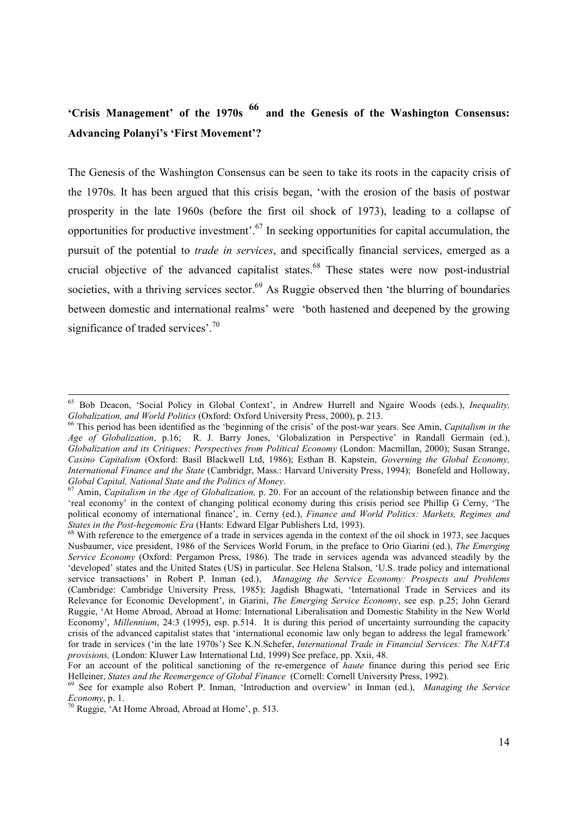# **'Crisis Management' of the 1970s <sup>66</sup> and the Genesis of the Washington Consensus: Advancing Polanyi's 'First Movement'?**

The Genesis of the Washington Consensus can be seen to take its roots in the capacity crisis of the 1970s. It has been argued that this crisis began, 'with the erosion of the basis of postwar prosperity in the late 1960s (before the first oil shock of 1973), leading to a collapse of opportunities for productive investment'.<sup>67</sup> In seeking opportunities for capital accumulation, the pursuit of the potential to *trade in services*, and specifically financial services, emerged as a crucial objective of the advanced capitalist states.<sup>68</sup> These states were now post-industrial societies, with a thriving services sector. $^{69}$  As Ruggie observed then 'the blurring of boundaries between domestic and international realms' were 'both hastened and deepened by the growing significance of traded services'.<sup>70</sup>

<sup>&</sup>lt;sup>65</sup> Bob Deacon, 'Social Policy in Global Context', in Andrew Hurrell and Ngaire Woods (eds.), *Inequality*, *Globalization. and World Politics* (Oxford: Oxford University Press. 2000). p. 213.

<sup>&</sup>lt;sup>66</sup> This period has been identified as the 'beginning of the crisis' of the post-war years. See Amin, *Capitalism in the Age of Globalization*, p.16; R. J. Barry Jones, 'Globalization in Perspective' in Randall Germain (ed.), *Globalization and its Critiques: Perspectives from Political Economy* (London: Macmillan, 2000); Susan Strange, *Casino Capitalism* (Oxford: Basil Blackwell Ltd, 1986); Esthan B. Kapstein, *Governing the Global Economy, International Finance and the State* (Cambridgr, Mass.: Harvard University Press, 1994); Bonefeld and Holloway, *Global Capital, National State and the Politics of Money*. 67 Amin, *Capitalism in the Age of Globalization,* p. 20. For an account of the relationship between finance and the

<sup>&#</sup>x27;real economy' in the context of changing political economy during this crisis period see Phillip G Cerny, 'The political economy of international finance', in. Cerny (ed.), *Finance and World Politics: Markets, Regimes and States in the Post-hegemonic Era* (Hants: Edward Elgar Publishers Ltd, 1993).

<sup>&</sup>lt;sup>68</sup> With reference to the emergence of a trade in services agenda in the context of the oil shock in 1973, see Jacques Nusbaumer, vice president, 1986 of the Services World Forum, in the preface to Orio Giarini (ed.), *The Emerging Service Economy* (Oxford: Pergamon Press, 1986). The trade in services agenda was advanced steadily by the 'developed' states and the United States (US) in particular. See Helena Stalson, 'U.S. trade policy and international service transactions' in Robert P. Inman (ed.), *Managing the Service Economy: Prospects and Problems* (Cambridge: Cambridge University Press, 1985); Jagdish Bhagwati, 'International Trade in Services and its Relevance for Economic Development', in Giarini, *The Emerging Service Economy*, see esp. p.25; John Gerard Ruggie, 'At Home Abroad, Abroad at Home: International Liberalisation and Domestic Stability in the New World Economy', *Millennium*, 24:3 (1995), esp. p.514. It is during this period of uncertainty surrounding the capacity crisis of the advanced capitalist states that 'international economic law only began to address the legal framework' for trade in services ('in the late 1970s') See K.N.Schefer, *International Trade in Financial Services: The NAFTA provisions,* (London: Kluwer Law International Ltd, 1999) See preface, pp. Xxii, 48.

For an account of the political sanctioning of the re-emergence of *haute* finance during this period see Eric Helleiner, *States and the Reemergence of Global Finance* (Cornell: Cornell University Press, 1992).

<sup>&</sup>lt;sup>69</sup> See for example also Robert P. Inman, 'Introduction and overview' in Inman (ed.), *Managing the Service Economy*, p. 1.

<sup>&</sup>lt;sup>70</sup> Ruggie, 'At Home Abroad, Abroad at Home', p. 513.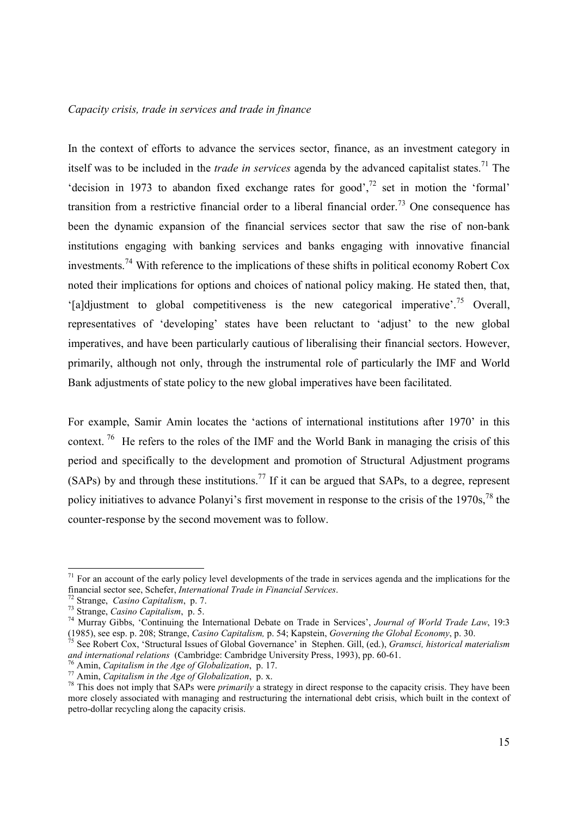#### *Capacity crisis, trade in services and trade in finance*

In the context of efforts to advance the services sector, finance, as an investment category in itself was to be included in the *trade in services* agenda by the advanced capitalist states.<sup>71</sup> The 'decision in 1973 to abandon fixed exchange rates for good', $^{72}$  set in motion the 'formal' transition from a restrictive financial order to a liberal financial order.<sup>73</sup> One consequence has been the dynamic expansion of the financial services sector that saw the rise of non-bank institutions engaging with banking services and banks engaging with innovative financial investments.74 With reference to the implications of these shifts in political economy Robert Cox noted their implications for options and choices of national policy making. He stated then, that, '[a]djustment to global competitiveness is the new categorical imperative'.<sup>75</sup> Overall. representatives of 'developing' states have been reluctant to 'adjust' to the new global imperatives, and have been particularly cautious of liberalising their financial sectors. However, primarily, although not only, through the instrumental role of particularly the IMF and World Bank adjustments of state policy to the new global imperatives have been facilitated.

For example, Samir Amin locates the 'actions of international institutions after 1970' in this context.<sup>76</sup> He refers to the roles of the IMF and the World Bank in managing the crisis of this period and specifically to the development and promotion of Structural Adjustment programs (SAPs) by and through these institutions.77 If it can be argued that SAPs, to a degree, represent policy initiatives to advance Polanyi's first movement in response to the crisis of the 1970s.<sup>78</sup> the counter-response by the second movement was to follow.

 $71$  For an account of the early policy level developments of the trade in services agenda and the implications for the financial sector see, Schefer, *International Trade in Financial Services*.<br><sup>72</sup> Strange, *Casino Capitalism*, p. 7.<br><sup>73</sup> Strange, *Casino Capitalism*, p. 5.<br><sup>74</sup> Murray Gibbs, 'Continuing the International Debate on Trad

<sup>(1985),</sup> see esp. p. 208; Strange, *Casino Capitalism*, p. 54; Kapstein, *Governing the Global Economy*, p. 30.<br><sup>75</sup> See Robert Cox, 'Structural Issues of Global Governance' in Stephen. Gill, (ed.), *Gramsci, historical mat* 

<sup>&</sup>lt;sup>76</sup> Amin, *Capitalism in the Age of Globalization*, p. 17.<br><sup>77</sup> Amin, *Capitalism in the Age of Globalization*, p. x.<br><sup>78</sup> This does not imply that SAPs were *primarily* a strategy in direct response to the capacity cris more closely associated with managing and restructuring the international debt crisis, which built in the context of petro-dollar recycling along the capacity crisis.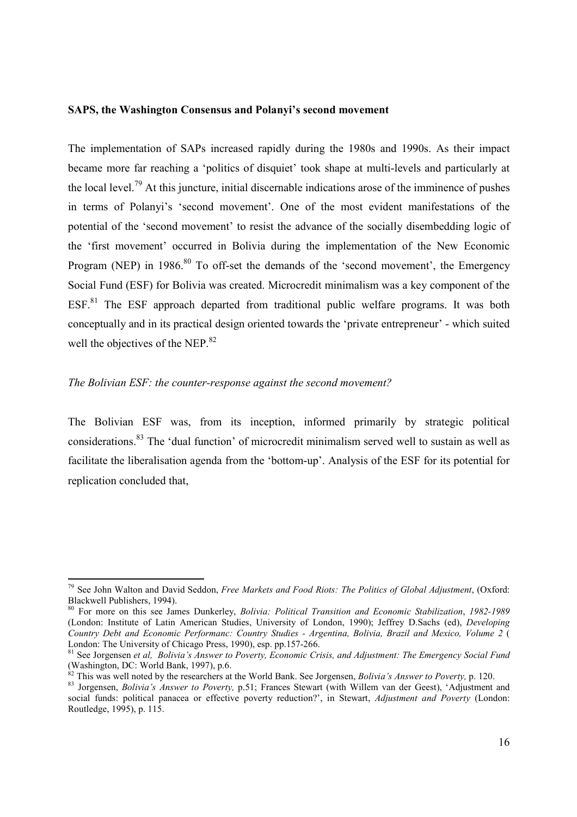#### **SAPS, the Washington Consensus and Polanyi's second movement**

The implementation of SAPs increased rapidly during the 1980s and 1990s. As their impact became more far reaching a 'politics of disquiet' took shape at multi-levels and particularly at the local level.79 At this juncture, initial discernable indications arose of the imminence of pushes in terms of Polanyi's 'second movement'. One of the most evident manifestations of the potential of the 'second movement' to resist the advance of the socially disembedding logic of the 'first movement' occurred in Bolivia during the implementation of the New Economic Program (NEP) in 1986.<sup>80</sup> To off-set the demands of the 'second movement', the Emergency Social Fund (ESF) for Bolivia was created. Microcredit minimalism was a key component of the ESF.<sup>81</sup> The ESF approach departed from traditional public welfare programs. It was both conceptually and in its practical design oriented towards the 'private entrepreneur' - which suited well the objectives of the NEP.<sup>82</sup>

# *The Bolivian ESF: the counter-response against the second movement?*

The Bolivian ESF was, from its inception, informed primarily by strategic political considerations.83 The 'dual function' of microcredit minimalism served well to sustain as well as facilitate the liberalisation agenda from the 'bottom-up'. Analysis of the ESF for its potential for replication concluded that,

<sup>79</sup> See John Walton and David Seddon, *Free Markets and Food Riots: The Politics of Global Adjustment*, (Oxford: Blackwell Publishers, 1994).

<sup>80</sup> For more on this see James Dunkerley, *Bolivia: Political Transition and Economic Stabilization*, *1982-1989* (London: Institute of Latin American Studies, University of London, 1990); Jeffrey D.Sachs (ed), *Developing Country Debt and Economic Performanc: Country Studies - Argentina, Bolivia, Brazil and Mexico, Volume 2* ( London: The University of Chicago Press, 1990), esp. pp.157-266.

<sup>81</sup> See Jorgensen *et al, Bolivia's Answer to Poverty, Economic Crisis, and Adjustment: The Emergency Social Fund*  (Washington, DC: World Bank, 1997), p.6.<br>
<sup>82</sup> This was well noted by the researchers at the World Bank. See Jorgensen, *Bolivia's Answer to Poverty*, p. 120.

<sup>&</sup>lt;sup>83</sup> Jorgensen, *Bolivia's Answer to Poverty*, p.51; Frances Stewart (with Willem van der Geest), 'Adjustment and social funds: political panacea or effective poverty reduction?', in Stewart, *Adjustment and Poverty* (London: Routledge, 1995), p. 115.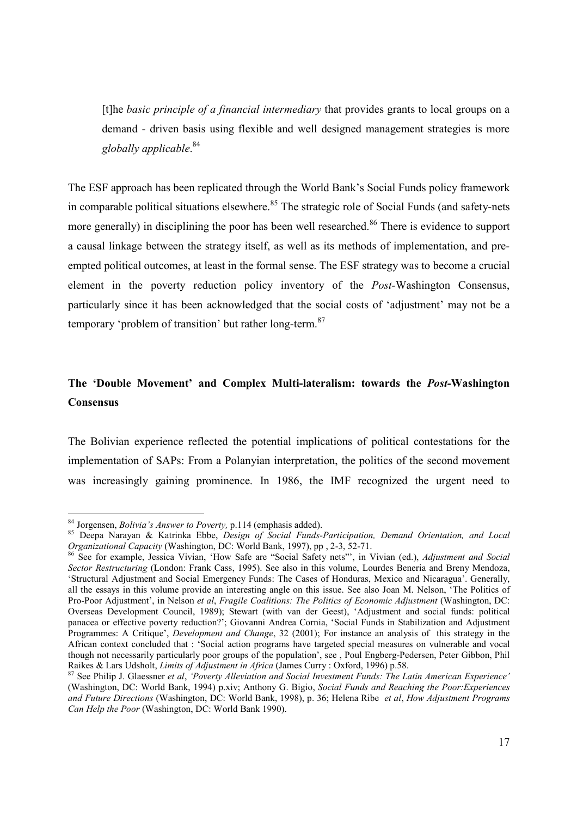[t]he *basic principle of a financial intermediary* that provides grants to local groups on a demand - driven basis using flexible and well designed management strategies is more *globally applicable*. 84

The ESF approach has been replicated through the World Bank's Social Funds policy framework in comparable political situations elsewhere.<sup>85</sup> The strategic role of Social Funds (and safety-nets more generally) in disciplining the poor has been well researched.<sup>86</sup> There is evidence to support a causal linkage between the strategy itself, as well as its methods of implementation, and preempted political outcomes, at least in the formal sense. The ESF strategy was to become a crucial element in the poverty reduction policy inventory of the *Post-*Washington Consensus, particularly since it has been acknowledged that the social costs of 'adjustment' may not be a temporary 'problem of transition' but rather long-term.<sup>87</sup>

# **The 'Double Movement' and Complex Multi-lateralism: towards the** *Post-***Washington Consensus**

The Bolivian experience reflected the potential implications of political contestations for the implementation of SAPs: From a Polanyian interpretation, the politics of the second movement was increasingly gaining prominence. In 1986, the IMF recognized the urgent need to

<sup>84</sup> Jorgensen, *Bolivia's Answer to Poverty*, p.114 (emphasis added).<br><sup>85</sup> Deepa Narayan & Katrinka Ebbe, *Design of Social Funds-Participation*, *Demand Orientation, and Local Organizational Capacity* (Washington, DC: Worl

<sup>&</sup>lt;sup>86</sup> See for example, Jessica Vivian, 'How Safe are "Social Safety nets"', in Vivian (ed.), *Adjustment and Social Sector Restructuring* (London: Frank Cass, 1995). See also in this volume, Lourdes Beneria and Breny Mendoza, 'Structural Adjustment and Social Emergency Funds: The Cases of Honduras, Mexico and Nicaragua'. Generally, all the essays in this volume provide an interesting angle on this issue. See also Joan M. Nelson, 'The Politics of Pro-Poor Adjustment', in Nelson *et al*, *Fragile Coalitions: The Politics of Economic Adjustment* (Washington, DC: Overseas Development Council, 1989); Stewart (with van der Geest), 'Adjustment and social funds: political panacea or effective poverty reduction?'; Giovanni Andrea Cornia, 'Social Funds in Stabilization and Adjustment Programmes: A Critique', *Development and Change*, 32 (2001); For instance an analysis of this strategy in the African context concluded that : 'Social action programs have targeted special measures on vulnerable and vocal though not necessarily particularly poor groups of the population', see, Poul Engberg-Pedersen, Peter Gibbon, Phil<br>Raikes & Lars Udsholt, *Limits of Adjustment in Africa* (James Curry : Oxford, 1996) p.58.

<sup>&</sup>lt;sup>87</sup> See Philip J. Glaessner *et al, 'Poverty Alleviation and Social Investment Funds: The Latin American Experience'* (Washington, DC: World Bank, 1994) p.xiv; Anthony G. Bigio, *Social Funds and Reaching the Poor:Experiences and Future Directions* (Washington, DC: World Bank, 1998), p. 36; Helena Ribe *et al*, *How Adjustment Programs Can Help the Poor* (Washington, DC: World Bank 1990).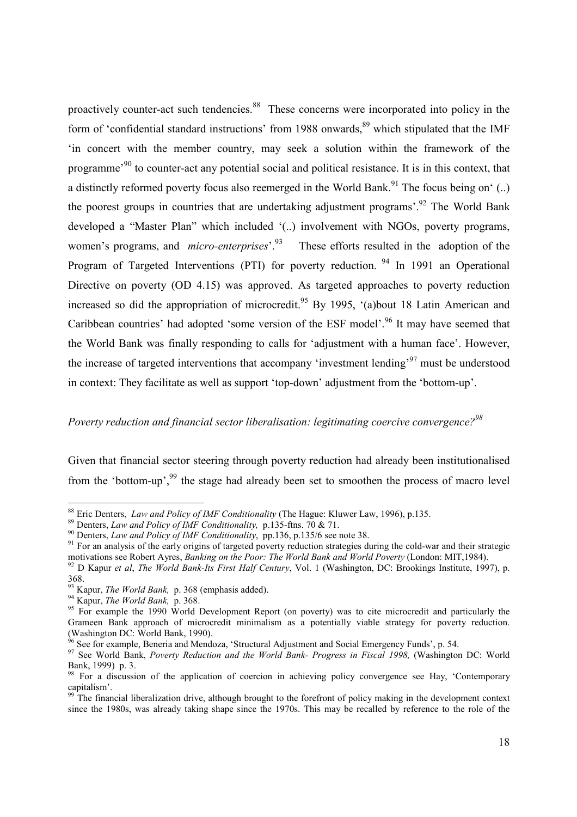proactively counter-act such tendencies.<sup>88</sup> These concerns were incorporated into policy in the form of 'confidential standard instructions' from 1988 onwards,  $89$  which stipulated that the IMF 'in concert with the member country, may seek a solution within the framework of the programme'90 to counter-act any potential social and political resistance. It is in this context, that a distinctly reformed poverty focus also reemerged in the World Bank.<sup>91</sup> The focus being on'  $(.)$ the poorest groups in countries that are undertaking adjustment programs<sup>'.92</sup> The World Bank developed a "Master Plan" which included '(..) involvement with NGOs, poverty programs, women's programs, and *micro-enterprises*<sup>93</sup>. These efforts resulted in the adoption of the Program of Targeted Interventions (PTI) for poverty reduction. <sup>94</sup> In 1991 an Operational Directive on poverty (OD 4.15) was approved. As targeted approaches to poverty reduction increased so did the appropriation of microcredit.<sup>95</sup> By 1995, '(a)bout 18 Latin American and Caribbean countries' had adopted 'some version of the ESF model'.<sup>96</sup> It may have seemed that the World Bank was finally responding to calls for 'adjustment with a human face'. However, the increase of targeted interventions that accompany 'investment lending'97 must be understood in context: They facilitate as well as support 'top-down' adjustment from the 'bottom-up'.

## *Poverty reduction and financial sector liberalisation: legitimating coercive convergence?98*

Given that financial sector steering through poverty reduction had already been institutionalised from the 'bottom-up',<sup>99</sup> the stage had already been set to smoothen the process of macro level

<sup>&</sup>lt;sup>88</sup> Eric Denters, *Law and Policy of IMF Conditionality* (The Hague: Kluwer Law, 1996), p.135.<br><sup>89</sup> Denters, *Law and Policy of IMF Conditionality*, p.135-ftns. 70 & 71.<br><sup>90</sup> Denters, *Law and Policy of IMF Conditionalit* 

 $92$  D Kapur et al, The World Bank-Its First Half Century, Vol. 1 (Washington, DC: Brookings Institute, 1997), p. 368.<br><sup>93</sup> Kapur, *The World Bank*, p. 368 (emphasis added).

<sup>&</sup>lt;sup>94</sup> Kapur, *The World Bank*, p. 368.<br><sup>95</sup> For example the 1990 World Development Report (on poverty) was to cite microcredit and particularly the Grameen Bank approach of microcredit minimalism as a potentially viable strategy for poverty reduction. (Washington DC: World Bank, 1990).

<sup>&</sup>lt;sup>96</sup> See for example, Beneria and Mendoza, 'Structural Adjustment and Social Emergency Funds', p. 54.

<sup>&</sup>lt;sup>97</sup> See World Bank, *Poverty Reduction and the World Bank- Progress in Fiscal 1998*, (Washington DC: World Bank, 1999) p. 3.

<sup>&</sup>lt;sup>98</sup> For a discussion of the application of coercion in achieving policy convergence see Hay, 'Contemporary' capitalism'.

 $99\text{ T}$  The financial liberalization drive, although brought to the forefront of policy making in the development context since the 1980s, was already taking shape since the 1970s. This may be recalled by reference to the role of the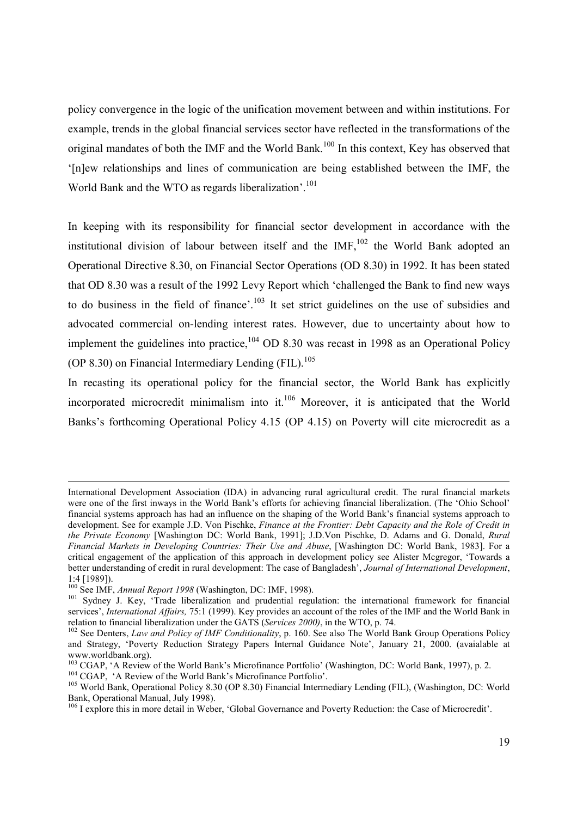policy convergence in the logic of the unification movement between and within institutions. For example, trends in the global financial services sector have reflected in the transformations of the original mandates of both the IMF and the World Bank.<sup>100</sup> In this context, Key has observed that '[n]ew relationships and lines of communication are being established between the IMF, the World Bank and the WTO as regards liberalization'.<sup>101</sup>

In keeping with its responsibility for financial sector development in accordance with the institutional division of labour between itself and the  $IMF<sub>102</sub>$  the World Bank adopted an Operational Directive 8.30, on Financial Sector Operations (OD 8.30) in 1992. It has been stated that OD 8.30 was a result of the 1992 Levy Report which 'challenged the Bank to find new ways to do business in the field of finance'.<sup>103</sup> It set strict guidelines on the use of subsidies and advocated commercial on-lending interest rates. However, due to uncertainty about how to implement the guidelines into practice,  $104$  OD 8.30 was recast in 1998 as an Operational Policy (OP 8.30) on Financial Intermediary Lending  $(FIL)$ .<sup>105</sup>

In recasting its operational policy for the financial sector, the World Bank has explicitly incorporated microcredit minimalism into it.106 Moreover, it is anticipated that the World Banks's forthcoming Operational Policy 4.15 (OP 4.15) on Poverty will cite microcredit as a

International Development Association (IDA) in advancing rural agricultural credit. The rural financial markets were one of the first inways in the World Bank's efforts for achieving financial liberalization. (The 'Ohio School' financial systems approach has had an influence on the shaping of the World Bank's financial systems approach to development. See for example J.D. Von Pischke, *Finance at the Frontier: Debt Capacity and the Role of Credit in the Private Economy* [Washington DC: World Bank, 1991]; J.D.Von Pischke, D. Adams and G. Donald, *Rural Financial Markets in Developing Countries: Their Use and Abuse*, [Washington DC: World Bank, 1983]. For a critical engagement of the application of this approach in development policy see Alister Mcgregor, 'Towards a better understanding of credit in rural development: The case of Bangladesh', *Journal of International Development*, 1:4 [1989]).<br><sup>100</sup> See IMF, *Annual Report 1998* (Washington, DC: IMF, 1998).

<sup>&</sup>lt;sup>101</sup> Sydney J. Key, 'Trade liberalization and prudential regulation: the international framework for financial services', *International Affairs*, 75:1 (1999). Key provides an account of the roles of the IMF and the World Bank in relation to financial liberalization under the GATS (Services 2000), in the WTO, p. 74.

<sup>&</sup>lt;sup>102</sup> See Denters, *Law and Policy of IMF Conditionality*, p. 160. See also The World Bank Group Operations Policy and Strategy, 'Poverty Reduction Strategy Papers Internal Guidance Note', January 21, 2000. (avaialable at www.worldbank.org).

<sup>&</sup>lt;sup>103</sup> CGAP, 'A Review of the World Bank's Microfinance Portfolio' (Washington, DC: World Bank, 1997), p. 2.<br><sup>104</sup> CGAP, 'A Review of the World Bank's Microfinance Portfolio'.<br><sup>105</sup> World Bank, Operational Policy 8.30 (OP 8

Bank, Operational Manual, July 1998).

<sup>106</sup> I explore this in more detail in Weber, 'Global Governance and Poverty Reduction: the Case of Microcredit'.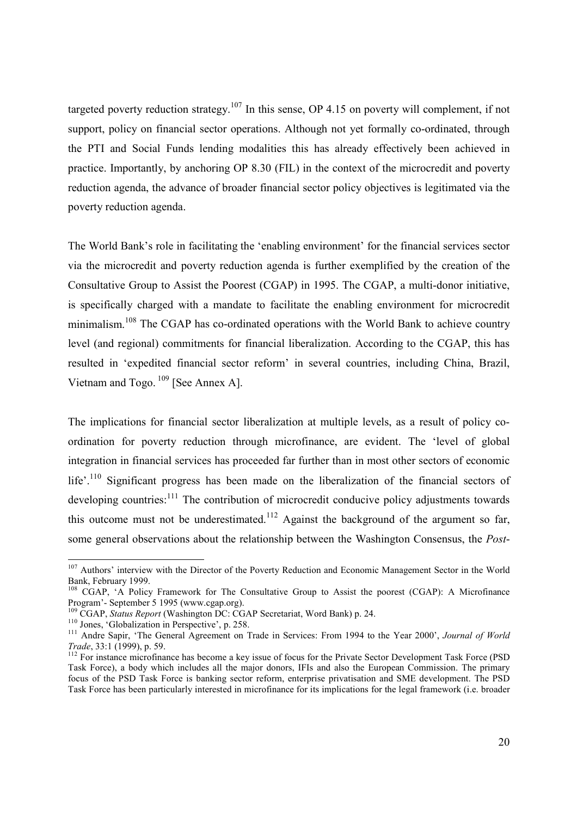targeted poverty reduction strategy.<sup>107</sup> In this sense, OP 4.15 on poverty will complement, if not support, policy on financial sector operations. Although not yet formally co-ordinated, through the PTI and Social Funds lending modalities this has already effectively been achieved in practice. Importantly, by anchoring OP 8.30 (FIL) in the context of the microcredit and poverty reduction agenda, the advance of broader financial sector policy objectives is legitimated via the poverty reduction agenda.

The World Bank's role in facilitating the 'enabling environment' for the financial services sector via the microcredit and poverty reduction agenda is further exemplified by the creation of the Consultative Group to Assist the Poorest (CGAP) in 1995. The CGAP, a multi-donor initiative, is specifically charged with a mandate to facilitate the enabling environment for microcredit minimalism.<sup>108</sup> The CGAP has co-ordinated operations with the World Bank to achieve country level (and regional) commitments for financial liberalization. According to the CGAP, this has resulted in 'expedited financial sector reform' in several countries, including China, Brazil, Vietnam and Togo. 109 [See Annex A].

The implications for financial sector liberalization at multiple levels, as a result of policy coordination for poverty reduction through microfinance, are evident. The 'level of global integration in financial services has proceeded far further than in most other sectors of economic life'.<sup>110</sup> Significant progress has been made on the liberalization of the financial sectors of developing countries:<sup>111</sup> The contribution of microcredit conducive policy adjustments towards this outcome must not be underestimated.<sup>112</sup> Against the background of the argument so far, some general observations about the relationship between the Washington Consensus, the *Post*-

<sup>&</sup>lt;sup>107</sup> Authors' interview with the Director of the Poverty Reduction and Economic Management Sector in the World Bank, February 1999.

<sup>&</sup>lt;sup>108</sup> CGAP, 'A Policy Framework for The Consultative Group to Assist the poorest (CGAP): A Microfinance Program'- September 5 1995 (www.cgap.org).<br><sup>109</sup> CGAP, *Status Report* (Washington DC: CGAP Secretariat, Word Bank) p. 24.

<sup>&</sup>lt;sup>110</sup> Jones, 'Globalization in Perspective', p. 258.<br><sup>111</sup> Andre Sapir, 'The General Agreement on Trade in Services: From 1994 to the Year 2000', Journal of World Trade, 33:1 (1999), p. 59.

*Trade*, 33:1 (1999), p. 59. 112 For instance has become a key issue of focus for the Private Sector Development Task Force (PSD) Task Force), a body which includes all the major donors, IFIs and also the European Commission. The primary focus of the PSD Task Force is banking sector reform, enterprise privatisation and SME development. The PSD Task Force has been particularly interested in microfinance for its implications for the legal framework (i.e. broader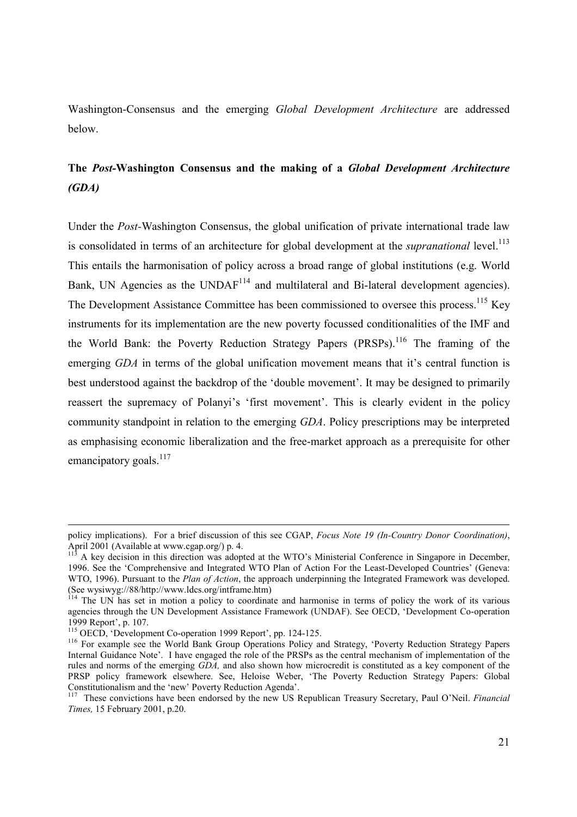Washington-Consensus and the emerging *Global Development Architecture* are addressed below.

# **The** *Post-***Washington Consensus and the making of a** *Global Development Architecture (GDA)*

Under the *Post-*Washington Consensus, the global unification of private international trade law is consolidated in terms of an architecture for global development at the *supranational* level.<sup>113</sup> This entails the harmonisation of policy across a broad range of global institutions (e.g. World Bank, UN Agencies as the UNDA $F^{114}$  and multilateral and Bi-lateral development agencies). The Development Assistance Committee has been commissioned to oversee this process.<sup>115</sup> Key instruments for its implementation are the new poverty focussed conditionalities of the IMF and the World Bank: the Poverty Reduction Strategy Papers (PRSPs).<sup>116</sup> The framing of the emerging *GDA* in terms of the global unification movement means that it's central function is best understood against the backdrop of the 'double movement'. It may be designed to primarily reassert the supremacy of Polanyi's 'first movement'. This is clearly evident in the policy community standpoint in relation to the emerging *GDA*. Policy prescriptions may be interpreted as emphasising economic liberalization and the free-market approach as a prerequisite for other emancipatory goals. $^{117}$ 

policy implications). For a brief discussion of this see CGAP, *Focus Note 19 (In-Country Donor Coordination)*, April 2001 (Available at www.cgap.org/) p. 4.

A key decision in this direction was adopted at the WTO's Ministerial Conference in Singapore in December, 1996. See the 'Comprehensive and Integrated WTO Plan of Action For the Least-Developed Countries' (Geneva: WTO, 1996). Pursuant to the *Plan of Action*, the approach underpinning the Integrated Framework was developed. (See wysiwyg://88/http://www.ldcs.org/intframe.htm)

The UN has set in motion a policy to coordinate and harmonise in terms of policy the work of its various agencies through the UN Development Assistance Framework (UNDAF). See OECD, 'Development Co-operation 1999 Report', p. 107.<br><sup>115</sup> OECD. 'Development Co-operation 1999 Report', pp. 124-125.

<sup>&</sup>lt;sup>116</sup> For example see the World Bank Group Operations Policy and Strategy, 'Poverty Reduction Strategy Papers Internal Guidance Note'. I have engaged the role of the PRSPs as the central mechanism of implementation of the rules and norms of the emerging *GDA,* and also shown how microcredit is constituted as a key component of the PRSP policy framework elsewhere. See, Heloise Weber, 'The Poverty Reduction Strategy Papers: Global Constitutionalism and the 'new' Poverty Reduction Agenda'.

<sup>117</sup> These convictions have been endorsed by the new US Republican Treasury Secretary, Paul O'Neil. *Financial Times,* 15 February 2001, p.20.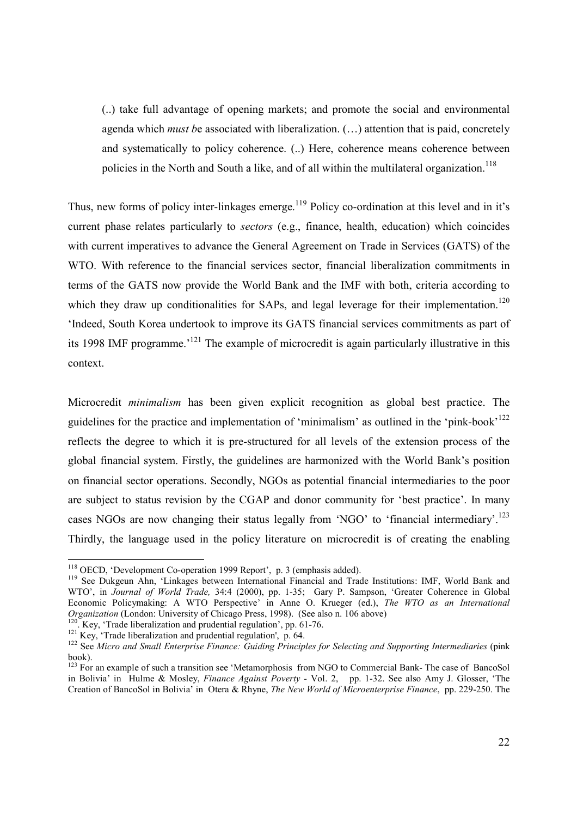(..) take full advantage of opening markets; and promote the social and environmental agenda which *must b*e associated with liberalization. (…) attention that is paid, concretely and systematically to policy coherence. (..) Here, coherence means coherence between policies in the North and South a like, and of all within the multilateral organization.<sup>118</sup>

Thus, new forms of policy inter-linkages emerge.<sup>119</sup> Policy co-ordination at this level and in it's current phase relates particularly to *sectors* (e.g., finance, health, education) which coincides with current imperatives to advance the General Agreement on Trade in Services (GATS) of the WTO. With reference to the financial services sector, financial liberalization commitments in terms of the GATS now provide the World Bank and the IMF with both, criteria according to which they draw up conditionalities for SAPs, and legal leverage for their implementation.<sup>120</sup> 'Indeed, South Korea undertook to improve its GATS financial services commitments as part of its 1998 IMF programme.'121 The example of microcredit is again particularly illustrative in this context.

Microcredit *minimalism* has been given explicit recognition as global best practice. The guidelines for the practice and implementation of 'minimalism' as outlined in the 'pink-book'122 reflects the degree to which it is pre-structured for all levels of the extension process of the global financial system. Firstly, the guidelines are harmonized with the World Bank's position on financial sector operations. Secondly, NGOs as potential financial intermediaries to the poor are subject to status revision by the CGAP and donor community for 'best practice'. In many cases NGOs are now changing their status legally from 'NGO' to 'financial intermediary'.<sup>123</sup> Thirdly, the language used in the policy literature on microcredit is of creating the enabling

<sup>&</sup>lt;sup>118</sup> OECD, 'Development Co-operation 1999 Report', p. 3 (emphasis added).

<sup>&</sup>lt;sup>119</sup> See Dukgeun Ahn, 'Linkages between International Financial and Trade Institutions: IMF, World Bank and WTO', in *Journal of World Trade,* 34:4 (2000), pp. 1-35; Gary P. Sampson, 'Greater Coherence in Global Economic Policymaking: A WTO Perspective' in Anne O. Krueger (ed.), *The WTO as an International Organization* (London: University of Chicago Press, 1998). (See also n. 106 above)<br><sup>120</sup>. Key, 'Trade liberalization and prudential regulation', pp. 61-76.<br><sup>121</sup> Key, 'Trade liberalization and prudential regulation', p. 6

book).

 $123$  For an example of such a transition see 'Metamorphosis from NGO to Commercial Bank- The case of BancoSol in Bolivia' in Hulme & Mosley, *Finance Against Poverty -* Vol. 2, pp. 1-32. See also Amy J. Glosser, 'The Creation of BancoSol in Bolivia' in Otera & Rhyne, *The New World of Microenterprise Finance*, pp. 229-250. The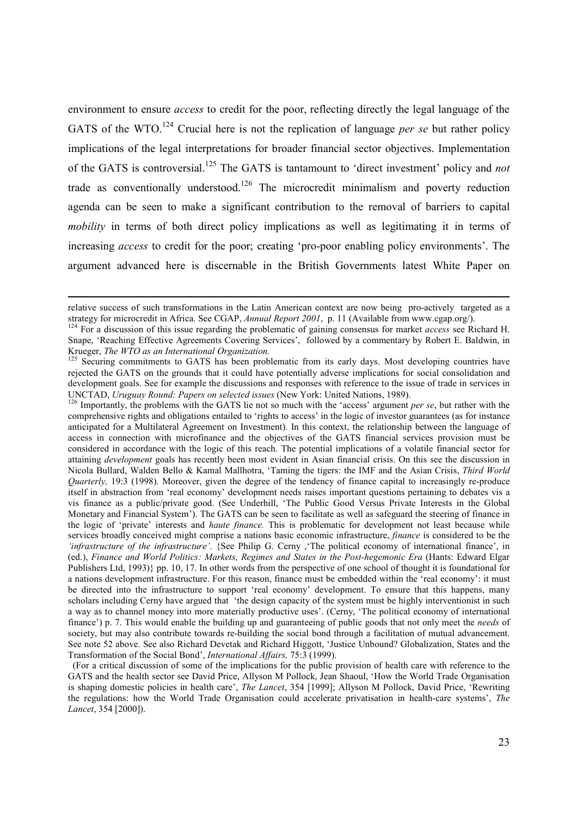environment to ensure *access* to credit for the poor, reflecting directly the legal language of the GATS of the WTO.<sup>124</sup> Crucial here is not the replication of language *per se* but rather policy implications of the legal interpretations for broader financial sector objectives. Implementation of the GATS is controversial.125 The GATS is tantamount to 'direct investment' policy and *not* trade as conventionally understood.<sup>126</sup> The microcredit minimalism and poverty reduction agenda can be seen to make a significant contribution to the removal of barriers to capital *mobility* in terms of both direct policy implications as well as legitimating it in terms of increasing *access* to credit for the poor; creating 'pro-poor enabling policy environments'. The argument advanced here is discernable in the British Governments latest White Paper on

relative success of such transformations in the Latin American context are now being pro-actively targeted as a strategy for microcredit in Africa. See CGAP, Annual Report 2001, p. 11 (Available from www.cgap.org/).<br><sup>124</sup> For a discussion of this issue regarding the problematic of gaining consensus for market access see Richard H.

Snape, 'Reaching Effective Agreements Covering Services', followed by a commentary by Robert E. Baldwin, in Krueger, *The WTO as an International Organization*.<br><sup>125</sup> Securing commitments to GATS has been problematic from its early days. Most developing countries have

rejected the GATS on the grounds that it could have potentially adverse implications for social consolidation and development goals. See for example the discussions and responses with reference to the issue of trade in services in UNCTAD, *Uruguay Round: Papers on selected issues* (New York: United Nations, 1989). 126 Importantly, the problems with the GATS lie not so much with the 'access' argument *per se*, but rather with the

comprehensive rights and obligations entailed to 'rights to access' in the logic of investor guarantees (as for instance anticipated for a Multilateral Agreement on Investment). In this context, the relationship between the language of access in connection with microfinance and the objectives of the GATS financial services provision must be considered in accordance with the logic of this reach. The potential implications of a volatile financial sector for attaining *development* goals has recently been most evident in Asian financial crisis. On this see the discussion in Nicola Bullard, Walden Bello & Kamal Mallhotra, 'Taming the tigers: the IMF and the Asian Crisis, *Third World Quarterly,* 19:3 (1998). Moreover, given the degree of the tendency of finance capital to increasingly re-produce itself in abstraction from 'real economy' development needs raises important questions pertaining to debates vis a vis finance as a public/private good. (See Underhill, 'The Public Good Versus Private Interests in the Global Monetary and Financial System'). The GATS can be seen to facilitate as well as safeguard the steering of finance in the logic of 'private' interests and *haute finance.* This is problematic for development not least because while services broadly conceived might comprise a nations basic economic infrastructure, *finance* is considered to be the *'infrastructure of the infrastructure'*. {See Philip G. Cerny ,'The political economy of international finance', in (ed.), *Finance and World Politics: Markets, Regimes and States in the Post-hegemonic Era* (Hants: Edward Elgar Publishers Ltd, 1993)} pp. 10, 17. In other words from the perspective of one school of thought it is foundational for a nations development infrastructure. For this reason, finance must be embedded within the 'real economy': it must be directed into the infrastructure to support 'real economy' development. To ensure that this happens, many scholars including Cerny have argued that 'the design capacity of the system must be highly interventionist in such a way as to channel money into more materially productive uses'. (Cerny, 'The political economy of international finance') p. 7. This would enable the building up and guaranteeing of public goods that not only meet the *needs* of society, but may also contribute towards re-building the social bond through a facilitation of mutual advancement. See note 52 above. See also Richard Devetak and Richard Higgott, 'Justice Unbound? Globalization, States and the Transformation of the Social Bond', *International Affairs,* 75:3 (1999).

 <sup>(</sup>For a critical discussion of some of the implications for the public provision of health care with reference to the GATS and the health sector see David Price, Allyson M Pollock, Jean Shaoul, 'How the World Trade Organisation is shaping domestic policies in health care', *The Lancet*, 354 [1999]; Allyson M Pollock, David Price, 'Rewriting the regulations: how the World Trade Organisation could accelerate privatisation in health-care systems', *The Lancet*, 354 [2000]).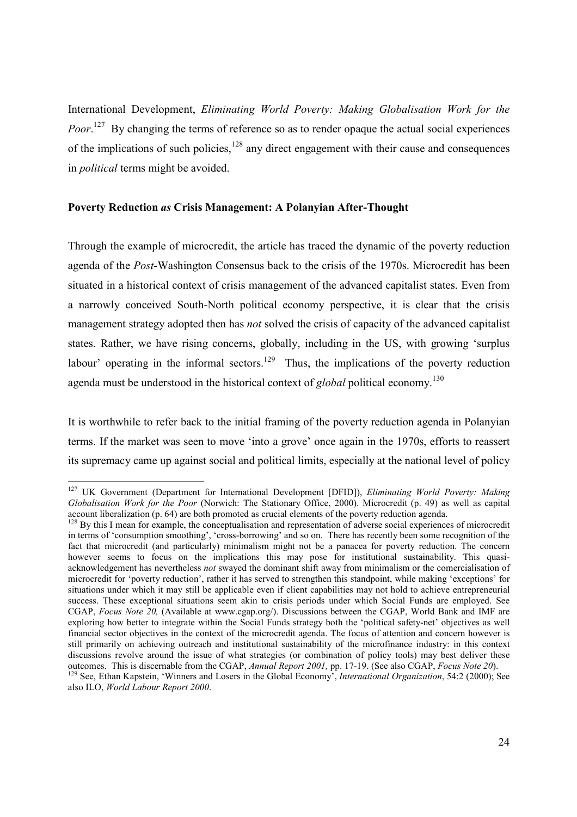International Development, *Eliminating World Poverty: Making Globalisation Work for the*  Poor.<sup>127</sup> By changing the terms of reference so as to render opaque the actual social experiences of the implications of such policies, $128$  any direct engagement with their cause and consequences in *political* terms might be avoided.

#### **Poverty Reduction** *as* **Crisis Management: A Polanyian After-Thought**

 $\overline{a}$ 

Through the example of microcredit, the article has traced the dynamic of the poverty reduction agenda of the *Post*-Washington Consensus back to the crisis of the 1970s. Microcredit has been situated in a historical context of crisis management of the advanced capitalist states. Even from a narrowly conceived South-North political economy perspective, it is clear that the crisis management strategy adopted then has *not* solved the crisis of capacity of the advanced capitalist states. Rather, we have rising concerns, globally, including in the US, with growing 'surplus labour' operating in the informal sectors.<sup>129</sup> Thus, the implications of the poverty reduction agenda must be understood in the historical context of *global* political economy.130

It is worthwhile to refer back to the initial framing of the poverty reduction agenda in Polanyian terms. If the market was seen to move 'into a grove' once again in the 1970s, efforts to reassert its supremacy came up against social and political limits, especially at the national level of policy

<sup>127</sup> UK Government (Department for International Development [DFID]), *Eliminating World Poverty: Making Globalisation Work for the Poor* (Norwich: The Stationary Office, 2000). Microcredit (p. 49) as well as capital account liberalization (p. 64) are both promoted as crucial elements of the poverty reduction agenda.

<sup>&</sup>lt;sup>128</sup> By this I mean for example, the conceptualisation and representation of adverse social experiences of microcredit in terms of 'consumption smoothing', 'cross-borrowing' and so on. There has recently been some recognition of the fact that microcredit (and particularly) minimalism might not be a panacea for poverty reduction. The concern however seems to focus on the implications this may pose for institutional sustainability. This quasiacknowledgement has nevertheless *not* swayed the dominant shift away from minimalism or the comercialisation of microcredit for 'poverty reduction', rather it has served to strengthen this standpoint, while making 'exceptions' for situations under which it may still be applicable even if client capabilities may not hold to achieve entrepreneurial success. These exceptional situations seem akin to crisis periods under which Social Funds are employed. See CGAP, *Focus Note 20,* (Available at www.cgap.org/). Discussions between the CGAP, World Bank and IMF are exploring how better to integrate within the Social Funds strategy both the 'political safety-net' objectives as well financial sector objectives in the context of the microcredit agenda. The focus of attention and concern however is still primarily on achieving outreach and institutional sustainability of the microfinance industry: in this context discussions revolve around the issue of what strategies (or combination of policy tools) may best deliver these outcomes. This is discernable from the CGAP, Annual Report 2001, pp. 17-19. (See also CGAP, Focus Note 20).

<sup>&</sup>lt;sup>129</sup> See, Ethan Kapstein, 'Winners and Losers in the Global Economy', International Organization, 54:2 (2000); See also ILO, *World Labour Report 2000*.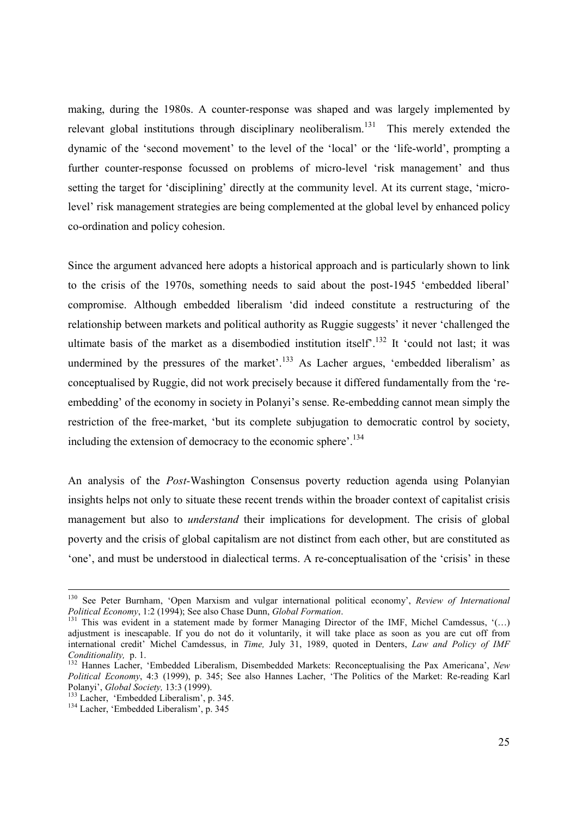making, during the 1980s. A counter-response was shaped and was largely implemented by relevant global institutions through disciplinary neoliberalism.<sup>131</sup> This merely extended the dynamic of the 'second movement' to the level of the 'local' or the 'life-world', prompting a further counter-response focussed on problems of micro-level 'risk management' and thus setting the target for 'disciplining' directly at the community level. At its current stage, 'microlevel' risk management strategies are being complemented at the global level by enhanced policy co-ordination and policy cohesion.

Since the argument advanced here adopts a historical approach and is particularly shown to link to the crisis of the 1970s, something needs to said about the post-1945 'embedded liberal' compromise. Although embedded liberalism 'did indeed constitute a restructuring of the relationship between markets and political authority as Ruggie suggests' it never 'challenged the ultimate basis of the market as a disembodied institution itself<sup> $132$ </sup> It 'could not last; it was undermined by the pressures of the market'.<sup>133</sup> As Lacher argues, 'embedded liberalism' as conceptualised by Ruggie, did not work precisely because it differed fundamentally from the 'reembedding' of the economy in society in Polanyi's sense. Re-embedding cannot mean simply the restriction of the free-market, 'but its complete subjugation to democratic control by society, including the extension of democracy to the economic sphere'.134

An analysis of the *Post-*Washington Consensus poverty reduction agenda using Polanyian insights helps not only to situate these recent trends within the broader context of capitalist crisis management but also to *understand* their implications for development. The crisis of global poverty and the crisis of global capitalism are not distinct from each other, but are constituted as 'one', and must be understood in dialectical terms. A re-conceptualisation of the 'crisis' in these

<sup>&</sup>lt;sup>130</sup> See Peter Burnham, 'Open Marxism and vulgar international political economy', *Review of International Political Economy*, 1:2 (1994); See also Chase Dunn, *Global Formation*.

<sup>&</sup>lt;sup>131</sup> This was evident in a statement made by former Managing Director of the IMF, Michel Camdessus, '(...) adjustment is inescapable. If you do not do it voluntarily, it will take place as soon as you are cut off from international credit' Michel Camdessus, in *Time,* July 31, 1989, quoted in Denters, *Law and Policy of IMF* 

*Conditionality, p. 1.* 132 Hannes Lacher, 'Embedded Liberalism, Disembedded Markets: Reconceptualising the Pax Americana', *New* <sup>132</sup> Hannes Lacher, 'Embedded Liberalism, Disembedded Markets: Reconceptualising the Pax Am *Political Economy*, 4:3 (1999), p. 345; See also Hannes Lacher, 'The Politics of the Market: Re-reading Karl Polanyi', *Global Society*, 13:3 (1999).

<sup>&</sup>lt;sup>133</sup> Lacher, 'Embedded Liberalism', p. 345.<br><sup>134</sup> Lacher, 'Embedded Liberalism', p. 345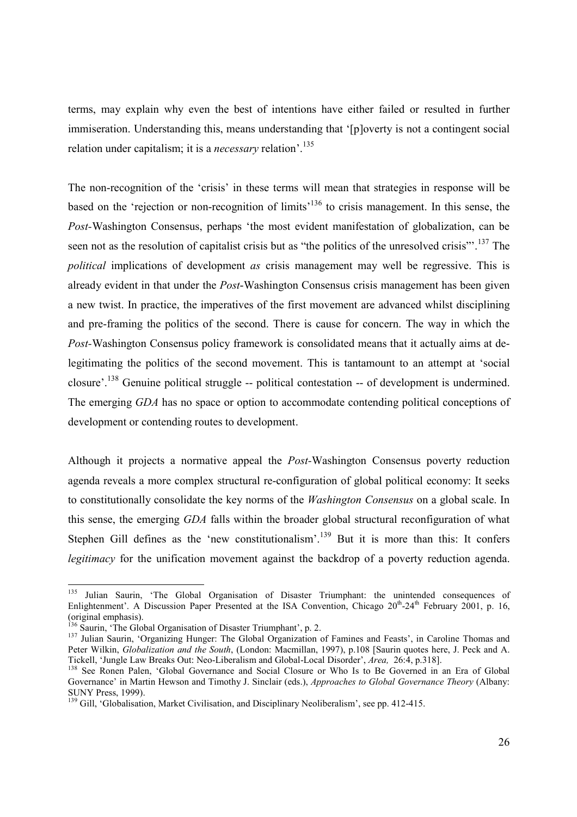terms, may explain why even the best of intentions have either failed or resulted in further immiseration. Understanding this, means understanding that '[p]overty is not a contingent social relation under capitalism; it is a *necessary* relation'.135

The non-recognition of the 'crisis' in these terms will mean that strategies in response will be based on the 'rejection or non-recognition of limits'136 to crisis management. In this sense, the *Post-*Washington Consensus, perhaps 'the most evident manifestation of globalization, can be seen not as the resolution of capitalist crisis but as "the politics of the unresolved crisis"<sup>137</sup>. The *political* implications of development *as* crisis management may well be regressive. This is already evident in that under the *Post*-Washington Consensus crisis management has been given a new twist. In practice, the imperatives of the first movement are advanced whilst disciplining and pre-framing the politics of the second. There is cause for concern. The way in which the *Post-*Washington Consensus policy framework is consolidated means that it actually aims at delegitimating the politics of the second movement. This is tantamount to an attempt at 'social closure'.138 Genuine political struggle -- political contestation -- of development is undermined. The emerging *GDA* has no space or option to accommodate contending political conceptions of development or contending routes to development.

Although it projects a normative appeal the *Post-*Washington Consensus poverty reduction agenda reveals a more complex structural re-configuration of global political economy: It seeks to constitutionally consolidate the key norms of the *Washington Consensus* on a global scale. In this sense, the emerging *GDA* falls within the broader global structural reconfiguration of what Stephen Gill defines as the 'new constitutionalism'.<sup>139</sup> But it is more than this: It confers *legitimacy* for the unification movement against the backdrop of a poverty reduction agenda.

<sup>135</sup> 135 Julian Saurin, 'The Global Organisation of Disaster Triumphant: the unintended consequences of Enlightenment'. A Discussion Paper Presented at the ISA Convention, Chicago  $20^{th}$ -24<sup>th</sup> February 2001, p. 16, (original emphasis).<br><sup>136</sup> Saurin, 'The Global Organisation of Disaster Triumphant', p. 2.

<sup>&</sup>lt;sup>137</sup> Julian Saurin, 'Organizing Hunger: The Global Organization of Famines and Feasts', in Caroline Thomas and Peter Wilkin, *Globalization and the South*, (London: Macmillan, 1997), p.108 [Saurin quotes here, J. Peck and A. Tickell, 'Jungle Law Breaks Out: Neo-Liberalism and Global-Local Disorder', *Area*, 26:4, p.318].<br><sup>138</sup> See Ronen Palen, 'Global Governance and Social Closure or Who Is to Be Governed in an Era of Global

Governance' in Martin Hewson and Timothy J. Sinclair (eds.), *Approaches to Global Governance Theory* (Albany: SUNY Press, 1999).

<sup>&</sup>lt;sup>139</sup> Gill, 'Globalisation, Market Civilisation, and Disciplinary Neoliberalism', see pp. 412-415.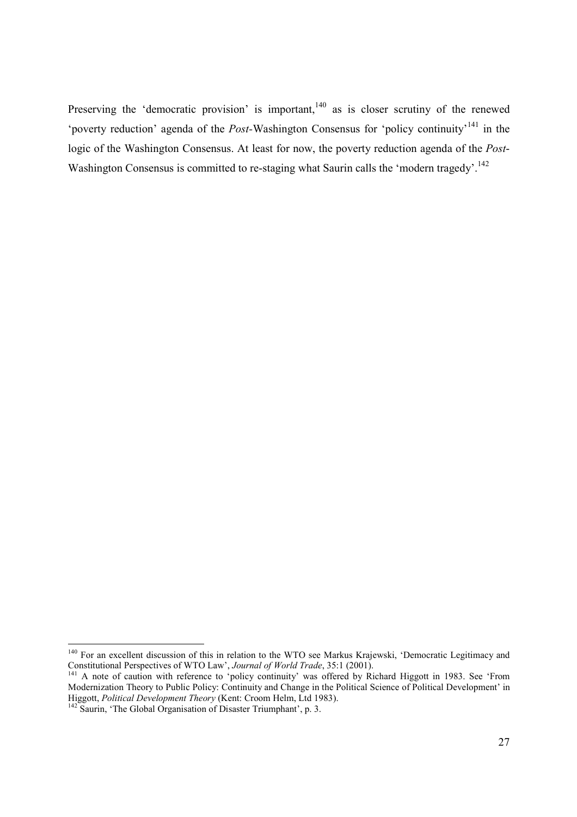Preserving the 'democratic provision' is important,<sup>140</sup> as is closer scrutiny of the renewed 'poverty reduction' agenda of the *Post-*Washington Consensus for 'policy continuity'141 in the logic of the Washington Consensus. At least for now, the poverty reduction agenda of the *Post*-Washington Consensus is committed to re-staging what Saurin calls the 'modern tragedy'.<sup>142</sup>

 <sup>140</sup> For an excellent discussion of this in relation to the WTO see Markus Krajewski, 'Democratic Legitimacy and

Constitutional Perspectives of WTO Law', *Journal of World Trade*, 35:1 (2001). <sup>141</sup> A note of caution with reference to 'policy continuity' was offered by Richard Higgott in 1983. See 'From Modernization Theory to Public Policy: Continuity and Change in the Political Science of Political Development' in Higgott, *Political Development Theory* (Kent: Croom Helm, Ltd 1983).<br><sup>142</sup> Saurin, 'The Global Organisation of Disaster Triumphant', p. 3.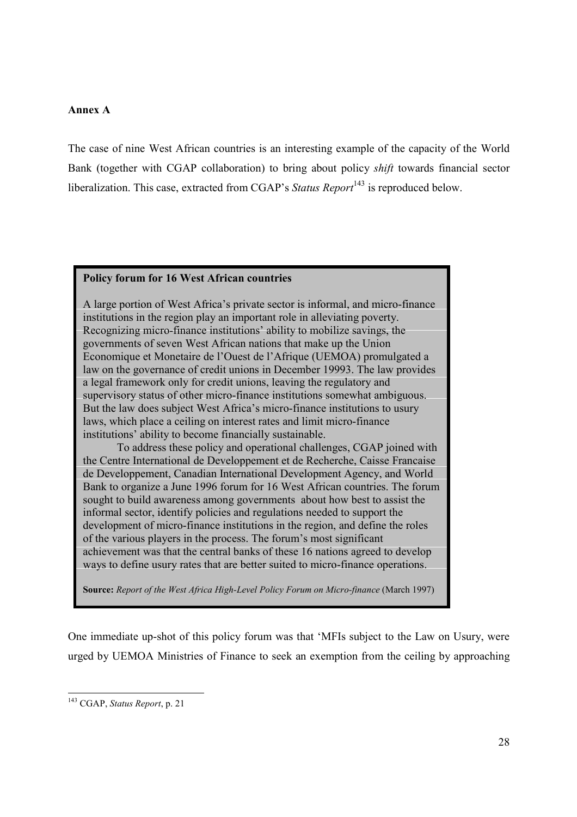### **Annex A**

The case of nine West African countries is an interesting example of the capacity of the World Bank (together with CGAP collaboration) to bring about policy *shift* towards financial sector liberalization. This case, extracted from CGAP's *Status Report*<sup>143</sup> is reproduced below.

### **Policy forum for 16 West African countries**

A large portion of West Africa's private sector is informal, and micro-finance institutions in the region play an important role in alleviating poverty. Recognizing micro-finance institutions' ability to mobilize savings, the governments of seven West African nations that make up the Union Economique et Monetaire de l'Ouest de l'Afrique (UEMOA) promulgated a law on the governance of credit unions in December 19993. The law provides a legal framework only for credit unions, leaving the regulatory and supervisory status of other micro-finance institutions somewhat ambiguous. But the law does subject West Africa's micro-finance institutions to usury laws, which place a ceiling on interest rates and limit micro-finance institutions' ability to become financially sustainable.

 To address these policy and operational challenges, CGAP joined with the Centre International de Developpement et de Recherche, Caisse Francaise de Developpement, Canadian International Development Agency, and World Bank to organize a June 1996 forum for 16 West African countries. The forum sought to build awareness among governments about how best to assist the informal sector, identify policies and regulations needed to support the development of micro-finance institutions in the region, and define the roles of the various players in the process. The forum's most significant achievement was that the central banks of these 16 nations agreed to develop ways to define usury rates that are better suited to micro-finance operations.

**Source:** *Report of the West Africa High-Level Policy Forum on Micro-finance* (March 1997)

One immediate up-shot of this policy forum was that 'MFIs subject to the Law on Usury, were urged by UEMOA Ministries of Finance to seek an exemption from the ceiling by approaching

<sup>143</sup> CGAP, *Status Report*, p. 21